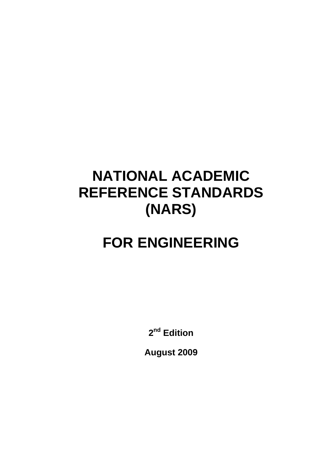# **NATIONAL ACADEMIC REFERENCE STANDARDS (NARS)**

# **FOR ENGINEERING**

**2nd Edition** 

**August 2009**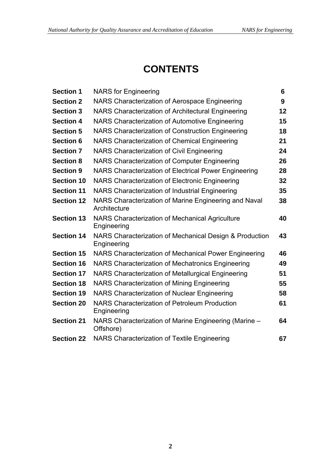# **CONTENTS**

| <b>Section 1</b>  | <b>NARS</b> for Engineering                                            | 6  |
|-------------------|------------------------------------------------------------------------|----|
| <b>Section 2</b>  | NARS Characterization of Aerospace Engineering                         | 9  |
| <b>Section 3</b>  | NARS Characterization of Architectural Engineering                     | 12 |
| <b>Section 4</b>  | NARS Characterization of Automotive Engineering                        | 15 |
| <b>Section 5</b>  | NARS Characterization of Construction Engineering                      | 18 |
| <b>Section 6</b>  | NARS Characterization of Chemical Engineering                          | 21 |
| <b>Section 7</b>  | <b>NARS Characterization of Civil Engineering</b>                      | 24 |
| <b>Section 8</b>  | NARS Characterization of Computer Engineering                          | 26 |
| <b>Section 9</b>  | NARS Characterization of Electrical Power Engineering                  | 28 |
| <b>Section 10</b> | NARS Characterization of Electronic Engineering                        | 32 |
| <b>Section 11</b> | NARS Characterization of Industrial Engineering                        | 35 |
| <b>Section 12</b> | NARS Characterization of Marine Engineering and Naval<br>Architecture  | 38 |
| <b>Section 13</b> | NARS Characterization of Mechanical Agriculture<br>Engineering         | 40 |
| <b>Section 14</b> | NARS Characterization of Mechanical Design & Production<br>Engineering | 43 |
| <b>Section 15</b> | NARS Characterization of Mechanical Power Engineering                  | 46 |
| <b>Section 16</b> | NARS Characterization of Mechatronics Engineering                      | 49 |
| <b>Section 17</b> | NARS Characterization of Metallurgical Engineering                     | 51 |
| <b>Section 18</b> | NARS Characterization of Mining Engineering                            | 55 |
| <b>Section 19</b> | <b>NARS Characterization of Nuclear Engineering</b>                    | 58 |
| <b>Section 20</b> | <b>NARS Characterization of Petroleum Production</b><br>Engineering    | 61 |
| <b>Section 21</b> | NARS Characterization of Marine Engineering (Marine -<br>Offshore)     | 64 |
| <b>Section 22</b> | NARS Characterization of Textile Engineering                           | 67 |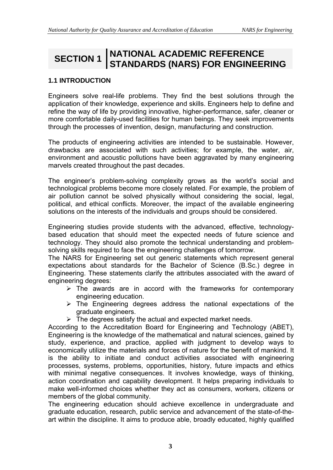# **SECTION 1 NATIONAL ACADEMIC REFERENCE STANDARDS (NARS) FOR ENGINEERING**

## **1.1 INTRODUCTION**

Engineers solve real-life problems. They find the best solutions through the application of their knowledge, experience and skills. Engineers help to define and refine the way of life by providing innovative, higher-performance, safer, cleaner or more comfortable daily-used facilities for human beings. They seek improvements through the processes of invention, design, manufacturing and construction.

The products of engineering activities are intended to be sustainable. However, drawbacks are associated with such activities; for example, the water, air, environment and acoustic pollutions have been aggravated by many engineering marvels created throughout the past decades.

The engineer's problem-solving complexity grows as the world's social and technological problems become more closely related. For example, the problem of air pollution cannot be solved physically without considering the social, legal, political, and ethical conflicts. Moreover, the impact of the available engineering solutions on the interests of the individuals and groups should be considered.

Engineering studies provide students with the advanced, effective, technologybased education that should meet the expected needs of future science and technology. They should also promote the technical understanding and problemsolving skills required to face the engineering challenges of tomorrow.

The NARS for Engineering set out generic statements which represent general expectations about standards for the Bachelor of Science (B.Sc.) degree in Engineering. These statements clarify the attributes associated with the award of engineering degrees:

- $\triangleright$  The awards are in accord with the frameworks for contemporary engineering education.
- $\triangleright$  The Engineering degrees address the national expectations of the graduate engineers.
- $\triangleright$  The degrees satisfy the actual and expected market needs.

According to the Accreditation Board for Engineering and Technology (ABET), Engineering is the knowledge of the mathematical and natural sciences, gained by study, experience, and practice, applied with judgment to develop ways to economically utilize the materials and forces of nature for the benefit of mankind. It is the ability to initiate and conduct activities associated with engineering processes, systems, problems, opportunities, history, future impacts and ethics with minimal negative consequences. It involves knowledge, ways of thinking, action coordination and capability development. It helps preparing individuals to make well-informed choices whether they act as consumers, workers, citizens or members of the global community.

The engineering education should achieve excellence in undergraduate and graduate education, research, public service and advancement of the state-of-theart within the discipline. It aims to produce able, broadly educated, highly qualified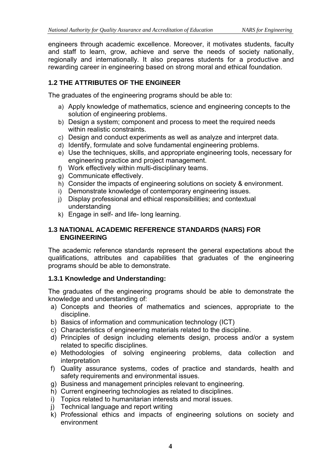engineers through academic excellence. Moreover, it motivates students, faculty and staff to learn, grow, achieve and serve the needs of society nationally, regionally and internationally. It also prepares students for a productive and rewarding career in engineering based on strong moral and ethical foundation.

# **1.2 THE ATTRIBUTES OF THE ENGINEER**

The graduates of the engineering programs should be able to:

- a) Apply knowledge of mathematics, science and engineering concepts to the solution of engineering problems.
- b) Design a system; component and process to meet the required needs within realistic constraints.
- c) Design and conduct experiments as well as analyze and interpret data.
- d) Identify, formulate and solve fundamental engineering problems.
- e) Use the techniques, skills, and appropriate engineering tools, necessary for engineering practice and project management.
- f) Work effectively within multi-disciplinary teams.
- g) Communicate effectively.
- h) Consider the impacts of engineering solutions on society & environment.
- i) Demonstrate knowledge of contemporary engineering issues.
- j) Display professional and ethical responsibilities; and contextual understanding
- k) Engage in self- and life- long learning.

## **1.3 NATIONAL ACADEMIC REFERENCE STANDARDS (NARS) FOR ENGINEERING**

The academic reference standards represent the general expectations about the qualifications, attributes and capabilities that graduates of the engineering programs should be able to demonstrate.

## **1.3.1 Knowledge and Understanding:**

The graduates of the engineering programs should be able to demonstrate the knowledge and understanding of:

- a) Concepts and theories of mathematics and sciences, appropriate to the discipline.
- b) Basics of information and communication technology (ICT)
- c) Characteristics of engineering materials related to the discipline.
- d) Principles of design including elements design, process and/or a system related to specific disciplines.
- e) Methodologies of solving engineering problems, data collection and interpretation
- f) Quality assurance systems, codes of practice and standards, health and safety requirements and environmental issues.
- g) Business and management principles relevant to engineering.
- h) Current engineering technologies as related to disciplines.
- i) Topics related to humanitarian interests and moral issues.
- j) Technical language and report writing
- k) Professional ethics and impacts of engineering solutions on society and environment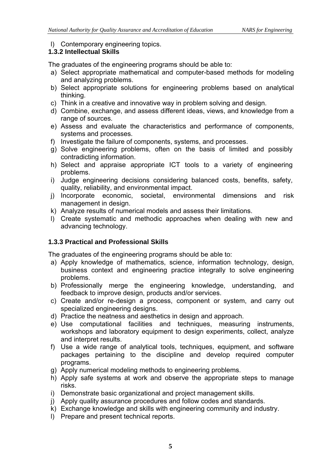l) Contemporary engineering topics.

# **1.3.2 Intellectual Skills**

The graduates of the engineering programs should be able to:

- a) Select appropriate mathematical and computer-based methods for modeling and analyzing problems.
- b) Select appropriate solutions for engineering problems based on analytical thinking.
- c) Think in a creative and innovative way in problem solving and design.
- d) Combine, exchange, and assess different ideas, views, and knowledge from a range of sources.
- e) Assess and evaluate the characteristics and performance of components, systems and processes.
- f) Investigate the failure of components, systems, and processes.
- g) Solve engineering problems, often on the basis of limited and possibly contradicting information.
- h) Select and appraise appropriate ICT tools to a variety of engineering problems.
- i) Judge engineering decisions considering balanced costs, benefits, safety, quality, reliability, and environmental impact.
- j) Incorporate economic, societal, environmental dimensions and risk management in design.
- k) Analyze results of numerical models and assess their limitations.
- l) Create systematic and methodic approaches when dealing with new and advancing technology.

## **1.3.3 Practical and Professional Skills**

The graduates of the engineering programs should be able to:

- a) Apply knowledge of mathematics, science, information technology, design, business context and engineering practice integrally to solve engineering problems.
- b) Professionally merge the engineering knowledge, understanding, and feedback to improve design, products and/or services.
- c) Create and/or re-design a process, component or system, and carry out specialized engineering designs.
- d) Practice the neatness and aesthetics in design and approach.
- e) Use computational facilities and techniques, measuring instruments, workshops and laboratory equipment to design experiments, collect, analyze and interpret results.
- f) Use a wide range of analytical tools, techniques, equipment, and software packages pertaining to the discipline and develop required computer programs.
- g) Apply numerical modeling methods to engineering problems.
- h) Apply safe systems at work and observe the appropriate steps to manage risks.
- i) Demonstrate basic organizational and project management skills.
- j) Apply quality assurance procedures and follow codes and standards.
- k) Exchange knowledge and skills with engineering community and industry.
- l) Prepare and present technical reports.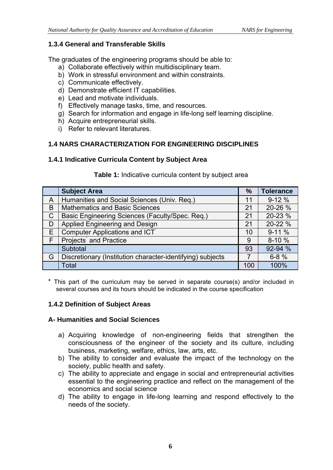# **1.3.4 General and Transferable Skills**

The graduates of the engineering programs should be able to:

- a) Collaborate effectively within multidisciplinary team.
- b) Work in stressful environment and within constraints.
- c) Communicate effectively.
- d) Demonstrate efficient IT capabilities.
- e) Lead and motivate individuals.
- f) Effectively manage tasks, time, and resources.
- g) Search for information and engage in life-long self learning discipline.
- h) Acquire entrepreneurial skills.
- i) Refer to relevant literatures.

# **1.4 NARS CHARACTERIZATION FOR ENGINEERING DISCIPLINES**

## **1.4.1 Indicative Curricula Content by Subject Area**

#### **Table 1:** Indicative curricula content by subject area

|              | <b>Subject Area</b>                                        | $\frac{9}{6}$ | <b>Tolerance</b> |
|--------------|------------------------------------------------------------|---------------|------------------|
| A            | Humanities and Social Sciences (Univ. Req.)                | 11            | $9-12%$          |
| B            | <b>Mathematics and Basic Sciences</b>                      | 21            | 20-26 %          |
| $\mathsf{C}$ | Basic Engineering Sciences (Faculty/Spec. Req.)            | 21            | 20-23 %          |
| D            | Applied Engineering and Design                             | 21            | 20-22 %          |
| E            | Computer Applications and ICT <sup>*</sup>                 | 10            | $9-11%$          |
| F            | Projects <sup>*</sup> and Practice                         | 9             | $8-10%$          |
|              | Subtotal                                                   | 93            | 92-94 %          |
| G            | Discretionary (Institution character-identifying) subjects |               | $6 - 8 \%$       |
|              | Total                                                      | 100           | 100%             |

\* This part of the curriculum may be served in separate course(s) and/or included in several courses and its hours should be indicated in the course specification

## **1.4.2 Definition of Subject Areas**

#### **A- Humanities and Social Sciences**

- a) Acquiring knowledge of non-engineering fields that strengthen the consciousness of the engineer of the society and its culture, including business, marketing, welfare, ethics, law, arts, etc.
- b) The ability to consider and evaluate the impact of the technology on the society, public health and safety.
- c) The ability to appreciate and engage in social and entrepreneurial activities essential to the engineering practice and reflect on the management of the economics and social science
- d) The ability to engage in life-long learning and respond effectively to the needs of the society.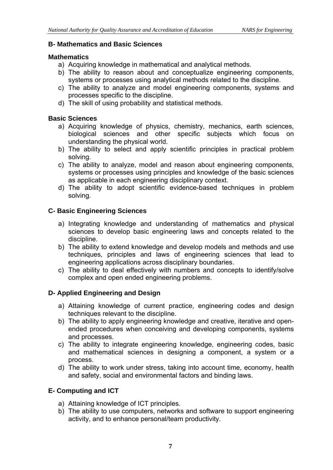#### **B- Mathematics and Basic Sciences**

#### **Mathematics**

- a) Acquiring knowledge in mathematical and analytical methods.
- b) The ability to reason about and conceptualize engineering components, systems or processes using analytical methods related to the discipline.
- c) The ability to analyze and model engineering components, systems and processes specific to the discipline.
- d) The skill of using probability and statistical methods.

#### **Basic Sciences**

- a) Acquiring knowledge of physics, chemistry, mechanics, earth sciences, biological sciences and other specific subjects which focus on understanding the physical world.
- b) The ability to select and apply scientific principles in practical problem solving.
- c) The ability to analyze, model and reason about engineering components, systems or processes using principles and knowledge of the basic sciences as applicable in each engineering disciplinary context.
- d) The ability to adopt scientific evidence-based techniques in problem solving.

## **C- Basic Engineering Sciences**

- a) Integrating knowledge and understanding of mathematics and physical sciences to develop basic engineering laws and concepts related to the discipline.
- b) The ability to extend knowledge and develop models and methods and use techniques, principles and laws of engineering sciences that lead to engineering applications across disciplinary boundaries.
- c) The ability to deal effectively with numbers and concepts to identify/solve complex and open ended engineering problems.

## **D- Applied Engineering and Design**

- a) Attaining knowledge of current practice, engineering codes and design techniques relevant to the discipline.
- b) The ability to apply engineering knowledge and creative, iterative and openended procedures when conceiving and developing components, systems and processes.
- c) The ability to integrate engineering knowledge, engineering codes, basic and mathematical sciences in designing a component, a system or a process.
- d) The ability to work under stress, taking into account time, economy, health and safety, social and environmental factors and binding laws.

## **E- Computing and ICT**

- a) Attaining knowledge of ICT principles.
- b) The ability to use computers, networks and software to support engineering activity, and to enhance personal/team productivity.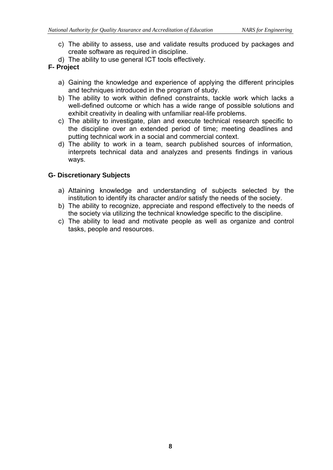- c) The ability to assess, use and validate results produced by packages and create software as required in discipline.
- d) The ability to use general ICT tools effectively.

# **F- Project**

- a) Gaining the knowledge and experience of applying the different principles and techniques introduced in the program of study.
- b) The ability to work within defined constraints, tackle work which lacks a well-defined outcome or which has a wide range of possible solutions and exhibit creativity in dealing with unfamiliar real-life problems.
- c) The ability to investigate, plan and execute technical research specific to the discipline over an extended period of time; meeting deadlines and putting technical work in a social and commercial context.
- d) The ability to work in a team, search published sources of information, interprets technical data and analyzes and presents findings in various ways.

# **G- Discretionary Subjects**

- a) Attaining knowledge and understanding of subjects selected by the institution to identify its character and/or satisfy the needs of the society.
- b) The ability to recognize, appreciate and respond effectively to the needs of the society via utilizing the technical knowledge specific to the discipline.
- c) The ability to lead and motivate people as well as organize and control tasks, people and resources.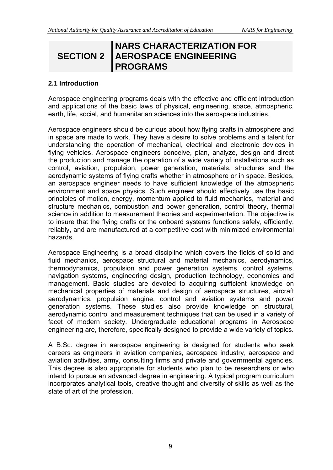# **SECTION 2**

# **NARS CHARACTERIZATION FOR AEROSPACE ENGINEERING PROGRAMS**

# **2.1 Introduction**

Aerospace engineering programs deals with the effective and efficient introduction and applications of the basic laws of physical, engineering, space, atmospheric, earth, life, social, and humanitarian sciences into the aerospace industries.

Aerospace engineers should be curious about how flying crafts in atmosphere and in space are made to work. They have a desire to solve problems and a talent for understanding the operation of mechanical, electrical and electronic devices in flying vehicles. Aerospace engineers conceive, plan, analyze, design and direct the production and manage the operation of a wide variety of installations such as control, aviation, propulsion, power generation, materials, structures and the aerodynamic systems of flying crafts whether in atmosphere or in space. Besides, an aerospace engineer needs to have sufficient knowledge of the atmospheric environment and space physics. Such engineer should effectively use the basic principles of motion, energy, momentum applied to fluid mechanics, material and structure mechanics, combustion and power generation, control theory, thermal science in addition to measurement theories and experimentation. The objective is to insure that the flying crafts or the onboard systems functions safely, efficiently, reliably, and are manufactured at a competitive cost with minimized environmental hazards.

Aerospace Engineering is a broad discipline which covers the fields of solid and fluid mechanics, aerospace structural and material mechanics, aerodynamics, thermodynamics, propulsion and power generation systems, control systems, navigation systems, engineering design, production technology, economics and management. Basic studies are devoted to acquiring sufficient knowledge on mechanical properties of materials and design of aerospace structures, aircraft aerodynamics, propulsion engine, control and aviation systems and power generation systems. These studies also provide knowledge on structural, aerodynamic control and measurement techniques that can be used in a variety of facet of modern society. Undergraduate educational programs in Aerospace engineering are, therefore, specifically designed to provide a wide variety of topics.

A B.Sc. degree in aerospace engineering is designed for students who seek careers as engineers in aviation companies, aerospace industry, aerospace and aviation activities, army, consulting firms and private and governmental agencies. This degree is also appropriate for students who plan to be researchers or who intend to pursue an advanced degree in engineering. A typical program curriculum incorporates analytical tools, creative thought and diversity of skills as well as the state of art of the profession.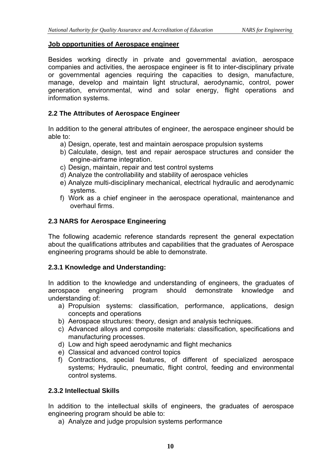#### **Job opportunities of Aerospace engineer**

Besides working directly in private and governmental aviation, aerospace companies and activities, the aerospace engineer is fit to inter-disciplinary private or governmental agencies requiring the capacities to design, manufacture, manage, develop and maintain light structural, aerodynamic, control, power generation, environmental, wind and solar energy, flight operations and information systems.

#### **2.2 The Attributes of Aerospace Engineer**

In addition to the general attributes of engineer, the aerospace engineer should be able to:

- a) Design, operate, test and maintain aerospace propulsion systems
- b) Calculate, design, test and repair aerospace structures and consider the engine-airframe integration.
- c) Design, maintain, repair and test control systems
- d) Analyze the controllability and stability of aerospace vehicles
- e) Analyze multi-disciplinary mechanical, electrical hydraulic and aerodynamic systems.
- f) Work as a chief engineer in the aerospace operational, maintenance and overhaul firms.

#### **2.3 NARS for Aerospace Engineering**

The following academic reference standards represent the general expectation about the qualifications attributes and capabilities that the graduates of Aerospace engineering programs should be able to demonstrate.

#### **2.3.1 Knowledge and Understanding:**

In addition to the knowledge and understanding of engineers, the graduates of aerospace engineering program should demonstrate knowledge and understanding of:

- a) Propulsion systems: classification, performance, applications, design concepts and operations
- b) Aerospace structures: theory, design and analysis techniques.
- c) Advanced alloys and composite materials: classification, specifications and manufacturing processes.
- d) Low and high speed aerodynamic and flight mechanics
- e) Classical and advanced control topics
- f) Contractions, special features, of different of specialized aerospace systems; Hydraulic, pneumatic, flight control, feeding and environmental control systems.

#### **2.3.2 Intellectual Skills**

In addition to the intellectual skills of engineers, the graduates of aerospace engineering program should be able to:

a) Analyze and judge propulsion systems performance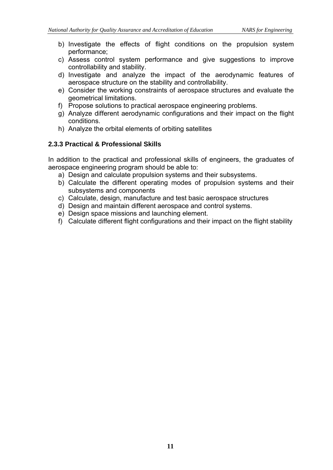- b) Investigate the effects of flight conditions on the propulsion system performance;
- c) Assess control system performance and give suggestions to improve controllability and stability.
- d) Investigate and analyze the impact of the aerodynamic features of aerospace structure on the stability and controllability.
- e) Consider the working constraints of aerospace structures and evaluate the geometrical limitations.
- f) Propose solutions to practical aerospace engineering problems.
- g) Analyze different aerodynamic configurations and their impact on the flight conditions.
- h) Analyze the orbital elements of orbiting satellites

## **2.3.3 Practical & Professional Skills**

In addition to the practical and professional skills of engineers, the graduates of aerospace engineering program should be able to:

- a) Design and calculate propulsion systems and their subsystems.
- b) Calculate the different operating modes of propulsion systems and their subsystems and components
- c) Calculate, design, manufacture and test basic aerospace structures
- d) Design and maintain different aerospace and control systems.
- e) Design space missions and launching element.
- f) Calculate different flight configurations and their impact on the flight stability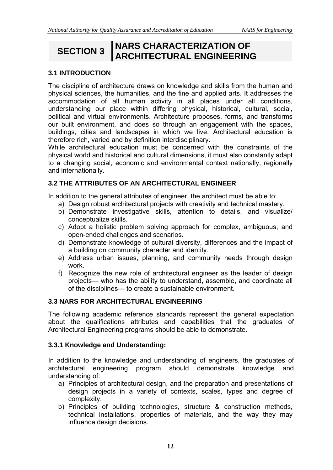# **SECTION 3 NARS CHARACTERIZATION OF ARCHITECTURAL ENGINEERING**

## **3.1 INTRODUCTION**

The discipline of architecture draws on knowledge and skills from the human and physical sciences, the humanities, and the fine and applied arts. It addresses the accommodation of all human activity in all places under all conditions, understanding our place within differing physical, historical, cultural, social, political and virtual environments. Architecture proposes, forms, and transforms our built environment, and does so through an engagement with the spaces, buildings, cities and landscapes in which we live. Architectural education is therefore rich, varied and by definition interdisciplinary.

While architectural education must be concerned with the constraints of the physical world and historical and cultural dimensions, it must also constantly adapt to a changing social, economic and environmental context nationally, regionally and internationally.

#### **3.2 THE ATTRIBUTES OF AN ARCHITECTURAL ENGINEER**

In addition to the general attributes of engineer, the architect must be able to:

- a) Design robust architectural projects with creativity and technical mastery.
- b) Demonstrate investigative skills, attention to details, and visualize/ conceptualize skills.
- c) Adopt a holistic problem solving approach for complex, ambiguous, and open-ended challenges and scenarios.
- d) Demonstrate knowledge of cultural diversity, differences and the impact of a building on community character and identity.
- e) Address urban issues, planning, and community needs through design work.
- f) Recognize the new role of architectural engineer as the leader of design projects— who has the ability to understand, assemble, and coordinate all of the disciplines— to create a sustainable environment.

#### **3.3 NARS FOR ARCHITECTURAL ENGINEERING**

The following academic reference standards represent the general expectation about the qualifications attributes and capabilities that the graduates of Architectural Engineering programs should be able to demonstrate.

#### **3.3.1 Knowledge and Understanding:**

In addition to the knowledge and understanding of engineers, the graduates of architectural engineering program should demonstrate knowledge and understanding of:

- a) Principles of architectural design, and the preparation and presentations of design projects in a variety of contexts, scales, types and degree of complexity.
- b) Principles of building technologies, structure & construction methods, technical installations, properties of materials, and the way they may influence design decisions.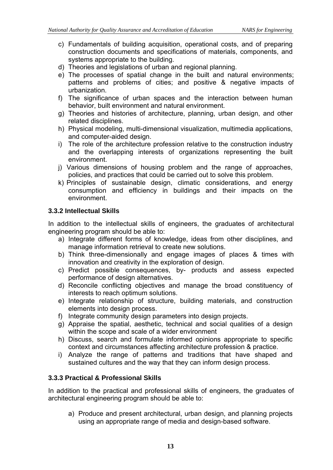- c) Fundamentals of building acquisition, operational costs, and of preparing construction documents and specifications of materials, components, and systems appropriate to the building.
- d) Theories and legislations of urban and regional planning.
- e) The processes of spatial change in the built and natural environments; patterns and problems of cities; and positive & negative impacts of urbanization.
- f) The significance of urban spaces and the interaction between human behavior, built environment and natural environment.
- g) Theories and histories of architecture, planning, urban design, and other related disciplines.
- h) Physical modeling, multi-dimensional visualization, multimedia applications, and computer-aided design.
- i) The role of the architecture profession relative to the construction industry and the overlapping interests of organizations representing the built environment.
- j) Various dimensions of housing problem and the range of approaches, policies, and practices that could be carried out to solve this problem.
- k) Principles of sustainable design, climatic considerations, and energy consumption and efficiency in buildings and their impacts on the environment.

#### **3.3.2 Intellectual Skills**

In addition to the intellectual skills of engineers, the graduates of architectural engineering program should be able to:

- a) Integrate different forms of knowledge, ideas from other disciplines, and manage information retrieval to create new solutions.
- b) Think three-dimensionally and engage images of places & times with innovation and creativity in the exploration of design.
- c) Predict possible consequences, by- products and assess expected performance of design alternatives.
- d) Reconcile conflicting objectives and manage the broad constituency of interests to reach optimum solutions.
- e) Integrate relationship of structure, building materials, and construction elements into design process.
- f) Integrate community design parameters into design projects.
- g) Appraise the spatial, aesthetic, technical and social qualities of a design within the scope and scale of a wider environment
- h) Discuss, search and formulate informed opinions appropriate to specific context and circumstances affecting architecture profession & practice.
- i) Analyze the range of patterns and traditions that have shaped and sustained cultures and the way that they can inform design process.

#### **3.3.3 Practical & Professional Skills**

In addition to the practical and professional skills of engineers, the graduates of architectural engineering program should be able to:

a) Produce and present architectural, urban design, and planning projects using an appropriate range of media and design-based software.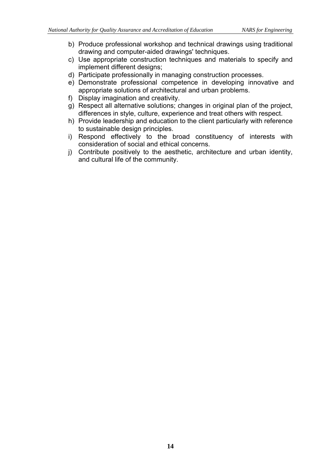- b) Produce professional workshop and technical drawings using traditional drawing and computer-aided drawings' techniques.
- c) Use appropriate construction techniques and materials to specify and implement different designs;
- d) Participate professionally in managing construction processes.
- e) Demonstrate professional competence in developing innovative and appropriate solutions of architectural and urban problems.
- f) Display imagination and creativity.
- g) Respect all alternative solutions; changes in original plan of the project, differences in style, culture, experience and treat others with respect.
- h) Provide leadership and education to the client particularly with reference to sustainable design principles.
- i) Respond effectively to the broad constituency of interests with consideration of social and ethical concerns.
- j) Contribute positively to the aesthetic, architecture and urban identity, and cultural life of the community.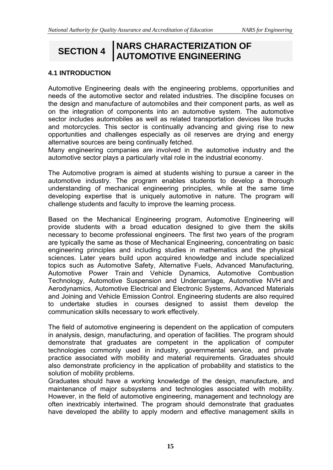# **SECTION 4 NARS CHARACTERIZATION OF AUTOMOTIVE ENGINEERING**

## **4.1 INTRODUCTION**

Automotive Engineering deals with the engineering problems, opportunities and needs of the automotive sector and related industries. The discipline focuses on the design and manufacture of automobiles and their component parts, as well as on the integration of components into an automotive system. The automotive sector includes automobiles as well as related transportation devices like trucks and motorcycles. This sector is continually advancing and giving rise to new opportunities and challenges especially as oil reserves are drying and energy alternative sources are being continually fetched.

Many engineering companies are involved in the automotive industry and the automotive sector plays a particularly vital role in the industrial economy.

The Automotive program is aimed at students wishing to pursue a career in the automotive industry. The program enables students to develop a thorough understanding of mechanical engineering principles, while at the same time developing expertise that is uniquely automotive in nature. The program will challenge students and faculty to improve the learning process.

Based on the Mechanical Engineering program, Automotive Engineering will provide students with a broad education designed to give them the skills necessary to become professional engineers. The first two years of the program are typically the same as those of Mechanical Engineering, concentrating on basic engineering principles and including studies in mathematics and the physical sciences. Later years build upon acquired knowledge and include specialized topics such as Automotive Safety, Alternative Fuels, Advanced Manufacturing, Automotive Power Train and Vehicle Dynamics, Automotive Combustion Technology, Automotive Suspension and Undercarriage, Automotive NVH and Aerodynamics, Automotive Electrical and Electronic Systems, Advanced Materials and Joining and Vehicle Emission Control. Engineering students are also required to undertake studies in courses designed to assist them develop the communication skills necessary to work effectively.

The field of automotive engineering is dependent on the application of computers in analysis, design, manufacturing, and operation of facilities. The program should demonstrate that graduates are competent in the application of computer technologies commonly used in industry, governmental service, and private practice associated with mobility and material requirements. Graduates should also demonstrate proficiency in the application of probability and statistics to the solution of mobility problems.

Graduates should have a working knowledge of the design, manufacture, and maintenance of major subsystems and technologies associated with mobility. However, in the field of automotive engineering, management and technology are often inextricably intertwined. The program should demonstrate that graduates have developed the ability to apply modern and effective management skills in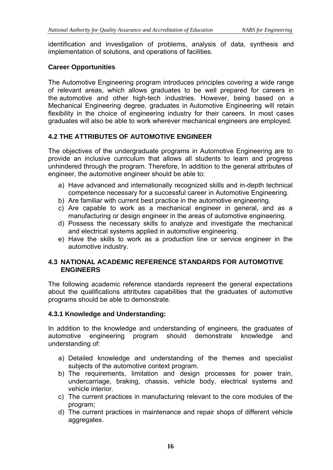identification and investigation of problems, analysis of data, synthesis and implementation of solutions, and operations of facilities.

# **Career Opportunities**

The Automotive Engineering program introduces principles covering a wide range of relevant areas, which allows graduates to be well prepared for careers in the automotive and other high-tech industries. However, being based on a Mechanical Engineering degree, graduates in Automotive Engineering will retain flexibility in the choice of engineering industry for their careers. In most cases graduates will also be able to work wherever mechanical engineers are employed.

# **4.2 THE ATTRIBUTES OF AUTOMOTIVE ENGINEER**

The objectives of the undergraduate programs in Automotive Engineering are to provide an inclusive curriculum that allows all students to learn and progress unhindered through the program. Therefore, In addition to the general attributes of engineer, the automotive engineer should be able to:

- a) Have advanced and internationally recognized skills and in-depth technical competence necessary for a successful career in Automotive Engineering.
- b) Are familiar with current best practice in the automotive engineering.
- c) Are capable to work as a mechanical engineer in general, and as a manufacturing or design engineer in the areas of automotive engineering.
- d) Possess the necessary skills to analyze and investigate the mechanical and electrical systems applied in automotive engineering.
- e) Have the skills to work as a production line or service engineer in the automotive industry.

#### **4.3 NATIONAL ACADEMIC REFERENCE STANDARDS FOR AUTOMOTIVE ENGINEERS**

The following academic reference standards represent the general expectations about the qualifications attributes capabilities that the graduates of automotive programs should be able to demonstrate.

## **4.3.1 Knowledge and Understanding:**

In addition to the knowledge and understanding of engineers, the graduates of automotive engineering program should demonstrate knowledge and understanding of:

- a) Detailed knowledge and understanding of the themes and specialist subjects of the automotive context program.
- b) The requirements, limitation and design processes for power train, undercarriage, braking, chassis, vehicle body, electrical systems and vehicle interior.
- c) The current practices in manufacturing relevant to the core modules of the program;
- d) The current practices in maintenance and repair shops of different vehicle aggregates.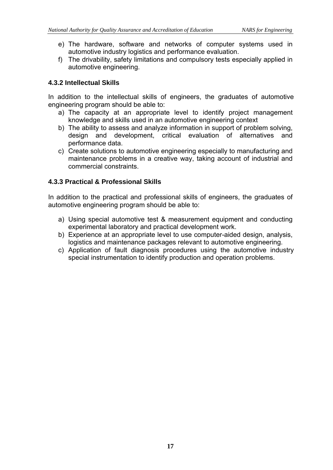- e) The hardware, software and networks of computer systems used in automotive industry logistics and performance evaluation.
- f) The drivability, safety limitations and compulsory tests especially applied in automotive engineering.

#### **4.3.2 Intellectual Skills**

In addition to the intellectual skills of engineers, the graduates of automotive engineering program should be able to:

- a) The capacity at an appropriate level to identify project management knowledge and skills used in an automotive engineering context
- b) The ability to assess and analyze information in support of problem solving, design and development, critical evaluation of alternatives and performance data.
- c) Create solutions to automotive engineering especially to manufacturing and maintenance problems in a creative way, taking account of industrial and commercial constraints.

#### **4.3.3 Practical & Professional Skills**

In addition to the practical and professional skills of engineers, the graduates of automotive engineering program should be able to:

- a) Using special automotive test & measurement equipment and conducting experimental laboratory and practical development work.
- b) Experience at an appropriate level to use computer-aided design, analysis, logistics and maintenance packages relevant to automotive engineering.
- c) Application of fault diagnosis procedures using the automotive industry special instrumentation to identify production and operation problems.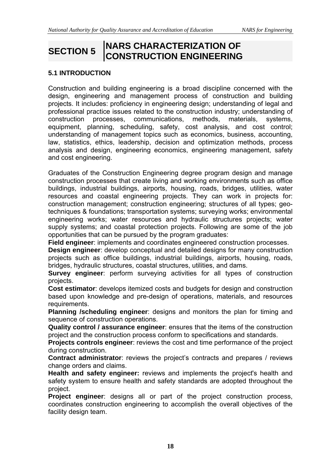# **SECTION 5 NARS CHARACTERIZATION OF CONSTRUCTION ENGINEERING**

# **5.1 INTRODUCTION**

Construction and building engineering is a broad discipline concerned with the design, engineering and management process of construction and building projects. It includes: proficiency in engineering design; understanding of legal and professional practice issues related to the construction industry; understanding of construction processes, communications, methods, materials, systems, equipment, planning, scheduling, safety, cost analysis, and cost control; understanding of management topics such as economics, business, accounting, law, statistics, ethics, leadership, decision and optimization methods, process analysis and design, engineering economics, engineering management, safety and cost engineering.

Graduates of the Construction Engineering degree program design and manage construction processes that create living and working environments such as office buildings, industrial buildings, airports, housing, roads, bridges, utilities, water resources and coastal engineering projects. They can work in projects for: construction management; construction engineering; structures of all types; geotechniques & foundations; transportation systems; surveying works; environmental engineering works; water resources and hydraulic structures projects; water supply systems; and coastal protection projects. Following are some of the job opportunities that can be pursued by the program graduates:

**Field engineer**: implements and coordinates engineered construction processes.

**Design engineer**: develop conceptual and detailed designs for many construction projects such as office buildings, industrial buildings, airports, housing, roads, bridges, hydraulic structures, coastal structures, utilities, and dams.

**Survey engineer**: perform surveying activities for all types of construction projects.

**Cost estimator**: develops itemized costs and budgets for design and construction based upon knowledge and pre-design of operations, materials, and resources requirements.

**Planning /scheduling engineer**: designs and monitors the plan for timing and sequence of construction operations.

**Quality control / assurance engineer**: ensures that the items of the construction project and the construction process conform to specifications and standards.

**Projects controls engineer**: reviews the cost and time performance of the project during construction.

**Contract administrator**: reviews the project's contracts and prepares / reviews change orders and claims.

**Health and safety engineer:** reviews and implements the project's health and safety system to ensure health and safety standards are adopted throughout the project.

**Project engineer**: designs all or part of the project construction process, coordinates construction engineering to accomplish the overall objectives of the facility design team.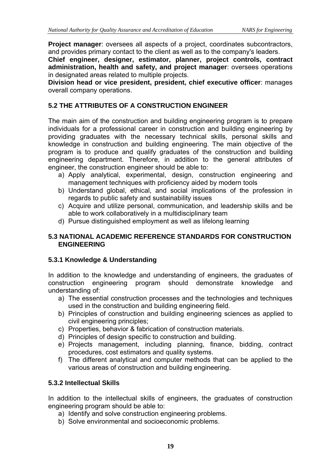**Project manager:** oversees all aspects of a project, coordinates subcontractors, and provides primary contact to the client as well as to the company's leaders.

**Chief engineer, designer, estimator, planner, project controls, contract administration, health and safety, and project manager**: oversees operations in designated areas related to multiple projects.

**Division head or vice president, president, chief executive officer**: manages overall company operations.

# **5.2 THE ATTRIBUTES OF A CONSTRUCTION ENGINEER**

The main aim of the construction and building engineering program is to prepare individuals for a professional career in construction and building engineering by providing graduates with the necessary technical skills, personal skills and knowledge in construction and building engineering. The main objective of the program is to produce and qualify graduates of the construction and building engineering department. Therefore, in addition to the general attributes of engineer, the construction engineer should be able to:

- a) Apply analytical, experimental, design, construction engineering and management techniques with proficiency aided by modern tools
- b) Understand global, ethical, and social implications of the profession in regards to public safety and sustainability issues
- c) Acquire and utilize personal, communication, and leadership skills and be able to work collaboratively in a multidisciplinary team
- d) Pursue distinguished employment as well as lifelong learning

#### **5.3 NATIONAL ACADEMIC REFERENCE STANDARDS FOR CONSTRUCTION ENGINEERING**

## **5.3.1 Knowledge & Understanding**

In addition to the knowledge and understanding of engineers, the graduates of construction engineering program should demonstrate knowledge and understanding of:

- a) The essential construction processes and the technologies and techniques used in the construction and building engineering field.
- b) Principles of construction and building engineering sciences as applied to civil engineering principles;
- c) Properties, behavior & fabrication of construction materials.
- d) Principles of design specific to construction and building.
- e) Projects management, including planning, finance, bidding, contract procedures, cost estimators and quality systems.
- f) The different analytical and computer methods that can be applied to the various areas of construction and building engineering.

## **5.3.2 Intellectual Skills**

In addition to the intellectual skills of engineers, the graduates of construction engineering program should be able to:

- a) Identify and solve construction engineering problems.
- b) Solve environmental and socioeconomic problems.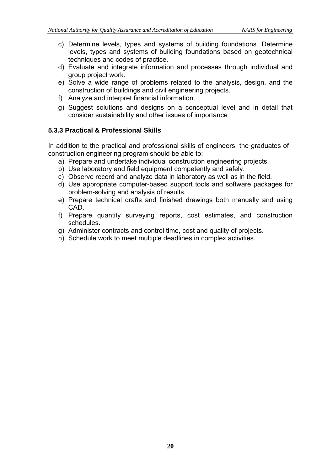- c) Determine levels, types and systems of building foundations. Determine levels, types and systems of building foundations based on geotechnical techniques and codes of practice.
- d) Evaluate and integrate information and processes through individual and group project work.
- e) Solve a wide range of problems related to the analysis, design, and the construction of buildings and civil engineering projects.
- f) Analyze and interpret financial information.
- g) Suggest solutions and designs on a conceptual level and in detail that consider sustainability and other issues of importance

# **5.3.3 Practical & Professional Skills**

In addition to the practical and professional skills of engineers, the graduates of construction engineering program should be able to:

- a) Prepare and undertake individual construction engineering projects.
- b) Use laboratory and field equipment competently and safely.
- c) Observe record and analyze data in laboratory as well as in the field.
- d) Use appropriate computer-based support tools and software packages for problem-solving and analysis of results.
- e) Prepare technical drafts and finished drawings both manually and using CAD.
- f) Prepare quantity surveying reports, cost estimates, and construction schedules.
- g) Administer contracts and control time, cost and quality of projects.
- h) Schedule work to meet multiple deadlines in complex activities.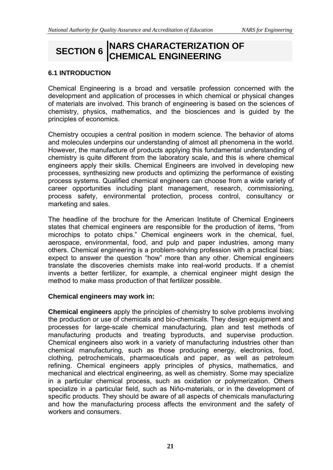# **SECTION 6 NARS CHARACTERIZATION OF CHEMICAL ENGINEERING**

## **6.1 INTRODUCTION**

Chemical Engineering is a broad and versatile profession concerned with the development and application of processes in which chemical or physical changes of materials are involved. This branch of engineering is based on the sciences of chemistry, physics, mathematics, and the biosciences and is guided by the principles of economics.

Chemistry occupies a central position in modern science. The behavior of atoms and molecules underpins our understanding of almost all phenomena in the world. However, the manufacture of products applying this fundamental understanding of chemistry is quite different from the laboratory scale, and this is where chemical engineers apply their skills. Chemical Engineers are involved in developing new processes, synthesizing new products and optimizing the performance of existing process systems. Qualified chemical engineers can choose from a wide variety of career opportunities including plant management, research, commissioning, process safety, environmental protection, process control, consultancy or marketing and sales.

The headline of the brochure for the American Institute of Chemical Engineers states that chemical engineers are responsible for the production of items, "from microchips to potato chips." Chemical engineers work in the chemical, fuel, aerospace, environmental, food, and pulp and paper industries, among many others. Chemical engineering is a problem-solving profession with a practical bias; expect to answer the question "how" more than any other. Chemical engineers translate the discoveries chemists make into real-world products. If a chemist invents a better fertilizer, for example, a chemical engineer might design the method to make mass production of that fertilizer possible.

#### **Chemical engineers may work in:**

**Chemical engineers** apply the principles of chemistry to solve problems involving the production or use of chemicals and bio-chemicals. They design equipment and processes for large-scale chemical manufacturing, plan and test methods of manufacturing products and treating byproducts, and supervise production. Chemical engineers also work in a variety of manufacturing industries other than chemical manufacturing, such as those producing energy, electronics, food, clothing, petrochemicals, pharmaceuticals and paper, as well as petroleum refining. Chemical engineers apply principles of physics, mathematics, and mechanical and electrical engineering, as well as chemistry. Some may specialize in a particular chemical process, such as oxidation or polymerization. Others specialize in a particular field, such as Niño-materials, or in the development of specific products. They should be aware of all aspects of chemicals manufacturing and how the manufacturing process affects the environment and the safety of workers and consumers.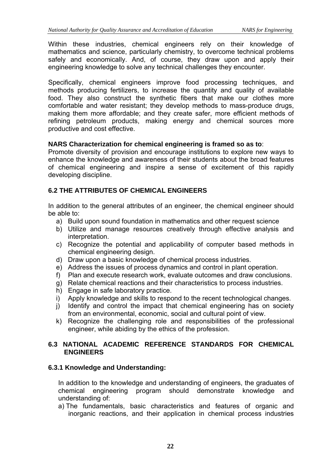Within these industries, chemical engineers rely on their knowledge of mathematics and science, particularly chemistry, to overcome technical problems safely and economically. And, of course, they draw upon and apply their engineering knowledge to solve any technical challenges they encounter.

Specifically, chemical engineers improve food processing techniques, and methods producing fertilizers, to increase the quantity and quality of available food. They also construct the synthetic fibers that make our clothes more comfortable and water resistant; they develop methods to mass-produce drugs, making them more affordable; and they create safer, more efficient methods of refining petroleum products, making energy and chemical sources more productive and cost effective.

#### **NARS Characterization for chemical engineering is framed so as to**:

Promote diversity of provision and encourage institutions to explore new ways to enhance the knowledge and awareness of their students about the broad features of chemical engineering and inspire a sense of excitement of this rapidly developing discipline.

## **6.2 THE ATTRIBUTES OF CHEMICAL ENGINEERS**

In addition to the general attributes of an engineer, the chemical engineer should be able to:

- a) Build upon sound foundation in mathematics and other request science
- b) Utilize and manage resources creatively through effective analysis and interpretation.
- c) Recognize the potential and applicability of computer based methods in chemical engineering design.
- d) Draw upon a basic knowledge of chemical process industries.
- e) Address the issues of process dynamics and control in plant operation.
- f) Plan and execute research work, evaluate outcomes and draw conclusions.
- g) Relate chemical reactions and their characteristics to process industries.
- h) Engage in safe laboratory practice.
- i) Apply knowledge and skills to respond to the recent technological changes.
- j) Identify and control the impact that chemical engineering has on society from an environmental, economic, social and cultural point of view.
- k) Recognize the challenging role and responsibilities of the professional engineer, while abiding by the ethics of the profession.

#### **6.3 NATIONAL ACADEMIC REFERENCE STANDARDS FOR CHEMICAL ENGINEERS**

## **6.3.1 Knowledge and Understanding:**

In addition to the knowledge and understanding of engineers, the graduates of chemical engineering program should demonstrate knowledge and understanding of:

a) The fundamentals, basic characteristics and features of organic and inorganic reactions, and their application in chemical process industries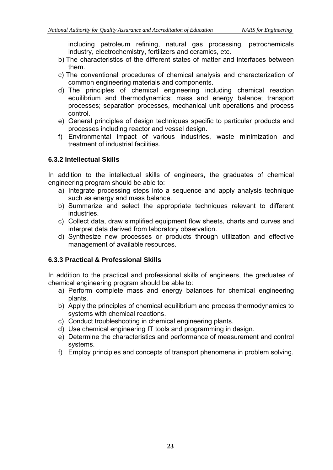including petroleum refining, natural gas processing, petrochemicals industry, electrochemistry, fertilizers and ceramics, etc.

- b) The characteristics of the different states of matter and interfaces between them.
- c) The conventional procedures of chemical analysis and characterization of common engineering materials and components.
- d) The principles of chemical engineering including chemical reaction equilibrium and thermodynamics; mass and energy balance; transport processes; separation processes, mechanical unit operations and process control.
- e) General principles of design techniques specific to particular products and processes including reactor and vessel design.
- f) Environmental impact of various industries, waste minimization and treatment of industrial facilities.

#### **6.3.2 Intellectual Skills**

In addition to the intellectual skills of engineers, the graduates of chemical engineering program should be able to:

- a) Integrate processing steps into a sequence and apply analysis technique such as energy and mass balance.
- b) Summarize and select the appropriate techniques relevant to different industries.
- c) Collect data, draw simplified equipment flow sheets, charts and curves and interpret data derived from laboratory observation.
- d) Synthesize new processes or products through utilization and effective management of available resources.

#### **6.3.3 Practical & Professional Skills**

In addition to the practical and professional skills of engineers, the graduates of chemical engineering program should be able to:

- a) Perform complete mass and energy balances for chemical engineering plants.
- b) Apply the principles of chemical equilibrium and process thermodynamics to systems with chemical reactions.
- c) Conduct troubleshooting in chemical engineering plants.
- d) Use chemical engineering IT tools and programming in design.
- e) Determine the characteristics and performance of measurement and control systems.
- f) Employ principles and concepts of transport phenomena in problem solving.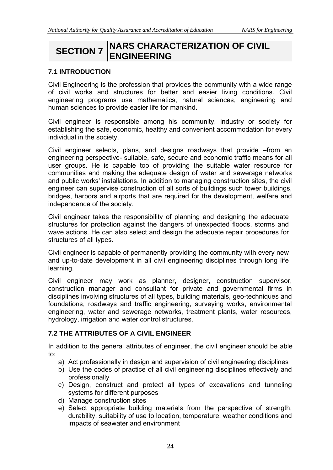# **SECTION 7 INARS CHARACTERIZATION OF CIVIL ENGINEERING**

# **7.1 INTRODUCTION**

Civil Engineering is the profession that provides the community with a wide range of civil works and structures for better and easier living conditions. Civil engineering programs use mathematics, natural sciences, engineering and human sciences to provide easier life for mankind.

Civil engineer is responsible among his community, industry or society for establishing the safe, economic, healthy and convenient accommodation for every individual in the society.

Civil engineer selects, plans, and designs roadways that provide –from an engineering perspective- suitable, safe, secure and economic traffic means for all user groups. He is capable too of providing the suitable water resource for communities and making the adequate design of water and sewerage networks and public works' installations. In addition to managing construction sites, the civil engineer can supervise construction of all sorts of buildings such tower buildings, bridges, harbors and airports that are required for the development, welfare and independence of the society.

Civil engineer takes the responsibility of planning and designing the adequate structures for protection against the dangers of unexpected floods, storms and wave actions. He can also select and design the adequate repair procedures for structures of all types.

Civil engineer is capable of permanently providing the community with every new and up-to-date development in all civil engineering disciplines through long life learning.

Civil engineer may work as planner, designer, construction supervisor, construction manager and consultant for private and governmental firms in disciplines involving structures of all types, building materials, geo-techniques and foundations, roadways and traffic engineering, surveying works, environmental engineering, water and sewerage networks, treatment plants, water resources, hydrology, irrigation and water control structures.

## **7.2 THE ATTRIBUTES OF A CIVIL ENGINEER**

In addition to the general attributes of engineer, the civil engineer should be able to:

- a) Act professionally in design and supervision of civil engineering disciplines
- b) Use the codes of practice of all civil engineering disciplines effectively and professionally
- c) Design, construct and protect all types of excavations and tunneling systems for different purposes
- d) Manage construction sites
- e) Select appropriate building materials from the perspective of strength, durability, suitability of use to location, temperature, weather conditions and impacts of seawater and environment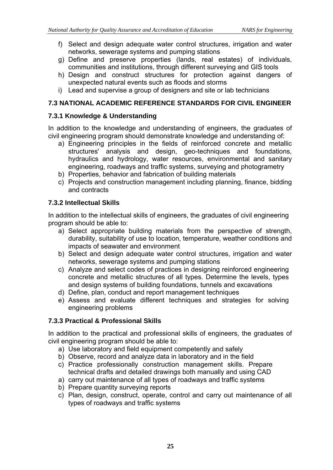- f) Select and design adequate water control structures, irrigation and water networks, sewerage systems and pumping stations
- g) Define and preserve properties (lands, real estates) of individuals, communities and institutions, through different surveying and GIS tools
- h) Design and construct structures for protection against dangers of unexpected natural events such as floods and storms
- i) Lead and supervise a group of designers and site or lab technicians

#### **7.3 NATIONAL ACADEMIC REFERENCE STANDARDS FOR CIVIL ENGINEER**

#### **7.3.1 Knowledge & Understanding**

In addition to the knowledge and understanding of engineers, the graduates of civil engineering program should demonstrate knowledge and understanding of:

- a) Engineering principles in the fields of reinforced concrete and metallic structures' analysis and design, geo-techniques and foundations, hydraulics and hydrology, water resources, environmental and sanitary engineering, roadways and traffic systems, surveying and photogrametry
- b) Properties, behavior and fabrication of building materials
- c) Projects and construction management including planning, finance, bidding and contracts

#### **7.3.2 Intellectual Skills**

In addition to the intellectual skills of engineers, the graduates of civil engineering program should be able to:

- a) Select appropriate building materials from the perspective of strength, durability, suitability of use to location, temperature, weather conditions and impacts of seawater and environment
- b) Select and design adequate water control structures, irrigation and water networks, sewerage systems and pumping stations
- c) Analyze and select codes of practices in designing reinforced engineering concrete and metallic structures of all types. Determine the levels, types and design systems of building foundations, tunnels and excavations
- d) Define, plan, conduct and report management techniques
- e) Assess and evaluate different techniques and strategies for solving engineering problems

## **7.3.3 Practical & Professional Skills**

In addition to the practical and professional skills of engineers, the graduates of civil engineering program should be able to:

- a) Use laboratory and field equipment competently and safely
- b) Observe, record and analyze data in laboratory and in the field
- c) Practice professionally construction management skills. Prepare technical drafts and detailed drawings both manually and using CAD
- a) carry out maintenance of all types of roadways and traffic systems
- b) Prepare quantity surveying reports
- c) Plan, design, construct, operate, control and carry out maintenance of all types of roadways and traffic systems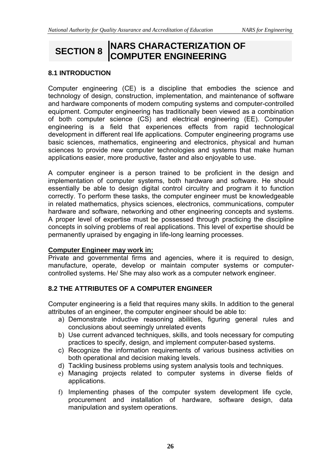# **SECTION 8 NARS CHARACTERIZATION OF COMPUTER ENGINEERING**

## **8.1 INTRODUCTION**

Computer engineering (CE) is a discipline that embodies the science and technology of design, construction, implementation, and maintenance of software and hardware components of modern computing systems and computer-controlled equipment. Computer engineering has traditionally been viewed as a combination of both computer science (CS) and electrical engineering (EE). Computer engineering is a field that experiences effects from rapid technological development in different real life applications. Computer engineering programs use basic sciences, mathematics, engineering and electronics, physical and human sciences to provide new computer technologies and systems that make human applications easier, more productive, faster and also enjoyable to use.

A computer engineer is a person trained to be proficient in the design and implementation of computer systems, both hardware and software. He should essentially be able to design digital control circuitry and program it to function correctly. To perform these tasks, the computer engineer must be knowledgeable in related mathematics, physics sciences, electronics, communications, computer hardware and software, networking and other engineering concepts and systems. A proper level of expertise must be possessed through practicing the discipline concepts in solving problems of real applications. This level of expertise should be permanently upraised by engaging in life-long learning processes.

#### **Computer Engineer may work in:**

Private and governmental firms and agencies, where it is required to design, manufacture, operate, develop or maintain computer systems or computercontrolled systems. He/ She may also work as a computer network engineer.

## **8.2 THE ATTRIBUTES OF A COMPUTER ENGINEER**

Computer engineering is a field that requires many skills. In addition to the general attributes of an engineer, the computer engineer should be able to:

- a) Demonstrate inductive reasoning abilities, figuring general rules and conclusions about seemingly unrelated events
- b) Use current advanced techniques, skills, and tools necessary for computing practices to specify, design, and implement computer-based systems.
- c) Recognize the information requirements of various business activities on both operational and decision making levels.
- d) Tackling business problems using system analysis tools and techniques.
- e) Managing projects related to computer systems in diverse fields of applications.
- f) Implementing phases of the computer system development life cycle, procurement and installation of hardware, software design, data manipulation and system operations.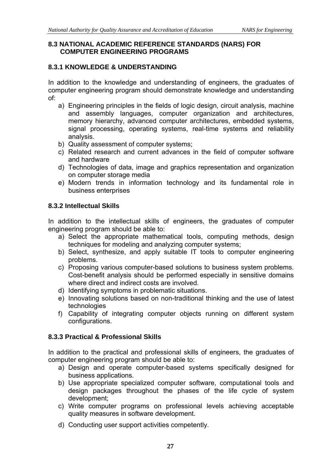#### **8.3 NATIONAL ACADEMIC REFERENCE STANDARDS (NARS) FOR COMPUTER ENGINEERING PROGRAMS**

# **8.3.1 KNOWLEDGE & UNDERSTANDING**

In addition to the knowledge and understanding of engineers, the graduates of computer engineering program should demonstrate knowledge and understanding of:

- a) Engineering principles in the fields of logic design, circuit analysis, machine and assembly languages, computer organization and architectures, memory hierarchy, advanced computer architectures, embedded systems, signal processing, operating systems, real-time systems and reliability analysis.
- b) Quality assessment of computer systems;
- c) Related research and current advances in the field of computer software and hardware
- d) Technologies of data, image and graphics representation and organization on computer storage media
- e) Modern trends in information technology and its fundamental role in business enterprises

# **8.3.2 Intellectual Skills**

In addition to the intellectual skills of engineers, the graduates of computer engineering program should be able to:

- a) Select the appropriate mathematical tools, computing methods, design techniques for modeling and analyzing computer systems;
- b) Select, synthesize, and apply suitable IT tools to computer engineering problems.
- c) Proposing various computer-based solutions to business system problems. Cost-benefit analysis should be performed especially in sensitive domains where direct and indirect costs are involved.
- d) Identifying symptoms in problematic situations.
- e) Innovating solutions based on non-traditional thinking and the use of latest technologies
- f) Capability of integrating computer objects running on different system configurations.

# **8.3.3 Practical & Professional Skills**

In addition to the practical and professional skills of engineers, the graduates of computer engineering program should be able to:

- a) Design and operate computer-based systems specifically designed for business applications.
- b) Use appropriate specialized computer software, computational tools and design packages throughout the phases of the life cycle of system development;
- c) Write computer programs on professional levels achieving acceptable quality measures in software development.
- d) Conducting user support activities competently.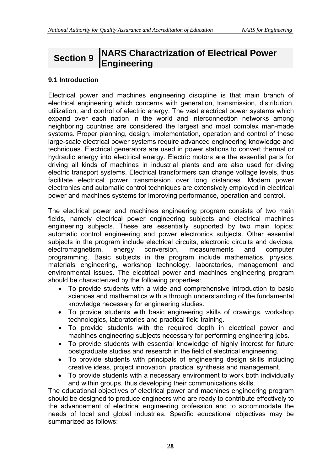# **Section 9 NARS Charactrization of Electrical Power Engineering**

## **9.1 Introduction**

Electrical power and machines engineering discipline is that main branch of electrical engineering which concerns with generation, transmission, distribution, utilization, and control of electric energy. The vast electrical power systems which expand over each nation in the world and interconnection networks among neighboring countries are considered the largest and most complex man-made systems. Proper planning, design, implementation, operation and control of these large-scale electrical power systems require advanced engineering knowledge and techniques. Electrical generators are used in power stations to convert thermal or hydraulic energy into electrical energy. Electric motors are the essential parts for driving all kinds of machines in industrial plants and are also used for diving electric transport systems. Electrical transformers can change voltage levels, thus facilitate electrical power transmission over long distances. Modern power electronics and automatic control techniques are extensively employed in electrical power and machines systems for improving performance, operation and control.

The electrical power and machines engineering program consists of two main fields, namely electrical power engineering subjects and electrical machines engineering subjects. These are essentially supported by two main topics: automatic control engineering and power electronics subjects. Other essential subjects in the program include electrical circuits, electronic circuits and devices, electromagnetism, energy conversion, measurements and computer programming. Basic subjects in the program include mathematics, physics, materials engineering, workshop technology, laboratories, management and environmental issues. The electrical power and machines engineering program should be characterized by the following properties:

- To provide students with a wide and comprehensive introduction to basic sciences and mathematics with a through understanding of the fundamental knowledge necessary for engineering studies.
- To provide students with basic engineering skills of drawings, workshop technologies, laboratories and practical field training.
- To provide students with the required depth in electrical power and machines engineering subjects necessary for performing engineering jobs.
- To provide students with essential knowledge of highly interest for future postgraduate studies and research in the field of electrical engineering.
- To provide students with principals of engineering design skills including creative ideas, project innovation, practical synthesis and management.
- To provide students with a necessary environment to work both individually and within groups, thus developing their communications skills.

The educational objectives of electrical power and machines engineering program should be designed to produce engineers who are ready to contribute effectively to the advancement of electrical engineering profession and to accommodate the needs of local and global industries. Specific educational objectives may be summarized as follows: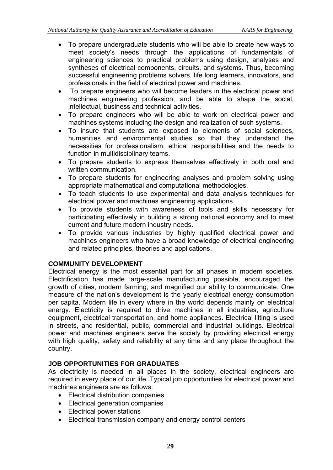- To prepare undergraduate students who will be able to create new ways to meet society's needs through the applications of fundamentals of engineering sciences to practical problems using design, analyses and syntheses of electrical components, circuits, and systems. Thus, becoming successful engineering problems solvers, life long learners, innovators, and professionals in the field of electrical power and machines.
- To prepare engineers who will become leaders in the electrical power and machines engineering profession, and be able to shape the social, intellectual, business and technical activities.
- To prepare engineers who will be able to work on electrical power and machines systems including the design and realization of such systems.
- To insure that students are exposed to elements of social sciences, humanities and environmental studies so that they understand the necessities for professionalism, ethical responsibilities and the needs to function in multidisciplinary teams.
- To prepare students to express themselves effectively in both oral and written communication.
- To prepare students for engineering analyses and problem solving using appropriate mathematical and computational methodologies.
- To teach students to use experimental and data analysis techniques for electrical power and machines engineering applications.
- To provide students with awareness of tools and skills necessary for participating effectively in building a strong national economy and to meet current and future modern industry needs.
- To provide various industries by highly qualified electrical power and machines engineers who have a broad knowledge of electrical engineering and related principles, theories and applications.

## **COMMUNITY DEVELOPMENT**

Electrical energy is the most essential part for all phases in modern societies. Electrification has made large-scale manufacturing possible, encouraged the growth of cities, modern farming, and magnified our ability to communicate. One measure of the nation's development is the yearly electrical energy consumption per capita. Modern life in every where in the world depends mainly on electrical energy. Electricity is required to drive machines in all industries, agriculture equipment, electrical transportation, and home appliances. Electrical lilting is used in streets, and residential, public, commercial and industrial buildings. Electrical power and machines engineers serve the society by providing electrical energy with high quality, safety and reliability at any time and any place throughout the country.

# **JOB OPPORTUNITIES FOR GRADUATES**

As electricity is needed in all places in the society, electrical engineers are required in every place of our life. Typical job opportunities for electrical power and machines engineers are as follows:

- Electrical distribution companies
- Electrical generation companies
- Electrical power stations
- Electrical transmission company and energy control centers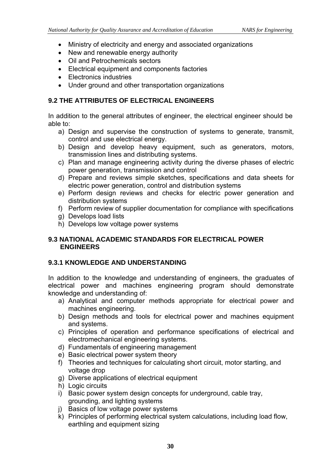- Ministry of electricity and energy and associated organizations
- New and renewable energy authority
- Oil and Petrochemicals sectors
- Electrical equipment and components factories
- Electronics industries
- Under ground and other transportation organizations

# **9.2 THE ATTRIBUTES OF ELECTRICAL ENGINEERS**

In addition to the general attributes of engineer, the electrical engineer should be able to:

- a) Design and supervise the construction of systems to generate, transmit, control and use electrical energy.
- b) Design and develop heavy equipment, such as generators, motors, transmission lines and distributing systems.
- c) Plan and manage engineering activity during the diverse phases of electric power generation, transmission and control
- d) Prepare and reviews simple sketches, specifications and data sheets for electric power generation, control and distribution systems
- e) Perform design reviews and checks for electric power generation and distribution systems
- f) Perform review of supplier documentation for compliance with specifications
- g) Develops load lists
- h) Develops low voltage power systems

## **9.3 NATIONAL ACADEMIC STANDARDS FOR ELECTRICAL POWER ENGINEERS**

## **9.3.1 KNOWLEDGE AND UNDERSTANDING**

In addition to the knowledge and understanding of engineers, the graduates of electrical power and machines engineering program should demonstrate knowledge and understanding of:

- a) Analytical and computer methods appropriate for electrical power and machines engineering.
- b) Design methods and tools for electrical power and machines equipment and systems.
- c) Principles of operation and performance specifications of electrical and electromechanical engineering systems.
- d) Fundamentals of engineering management
- e) Basic electrical power system theory
- f) Theories and techniques for calculating short circuit, motor starting, and voltage drop
- g) Diverse applications of electrical equipment
- h) Logic circuits
- i) Basic power system design concepts for underground, cable tray, grounding, and lighting systems
- j) Basics of low voltage power systems
- k) Principles of performing electrical system calculations, including load flow, earthling and equipment sizing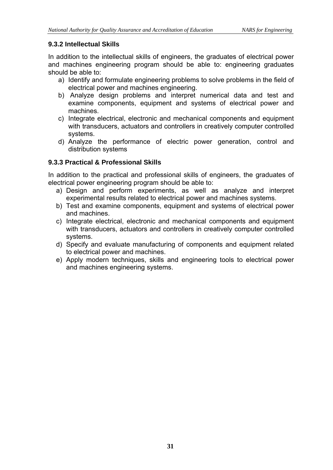# **9.3.2 Intellectual Skills**

In addition to the intellectual skills of engineers, the graduates of electrical power and machines engineering program should be able to: engineering graduates should be able to:

- a) Identify and formulate engineering problems to solve problems in the field of electrical power and machines engineering.
- b) Analyze design problems and interpret numerical data and test and examine components, equipment and systems of electrical power and machines.
- c) Integrate electrical, electronic and mechanical components and equipment with transducers, actuators and controllers in creatively computer controlled systems.
- d) Analyze the performance of electric power generation, control and distribution systems

# **9.3.3 Practical & Professional Skills**

In addition to the practical and professional skills of engineers, the graduates of electrical power engineering program should be able to:

- a) Design and perform experiments, as well as analyze and interpret experimental results related to electrical power and machines systems.
- b) Test and examine components, equipment and systems of electrical power and machines.
- c) Integrate electrical, electronic and mechanical components and equipment with transducers, actuators and controllers in creatively computer controlled systems.
- d) Specify and evaluate manufacturing of components and equipment related to electrical power and machines.
- e) Apply modern techniques, skills and engineering tools to electrical power and machines engineering systems.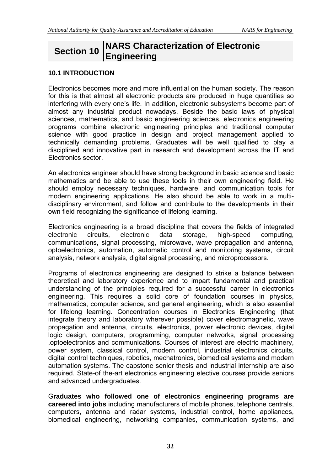# **Section 10 NARS Characterization of Electronic Engineering**

#### **10.1 INTRODUCTION**

Electronics becomes more and more influential on the human society. The reason for this is that almost all electronic products are produced in huge quantities so interfering with every one's life. In addition, electronic subsystems become part of almost any industrial product nowadays. Beside the basic laws of physical sciences, mathematics, and basic engineering sciences, electronics engineering programs combine electronic engineering principles and traditional computer science with good practice in design and project management applied to technically demanding problems. Graduates will be well qualified to play a disciplined and innovative part in research and development across the IT and Electronics sector.

An electronics engineer should have strong background in basic science and basic mathematics and be able to use these tools in their own engineering field. He should employ necessary techniques, hardware, and communication tools for modern engineering applications. He also should be able to work in a multidisciplinary environment, and follow and contribute to the developments in their own field recognizing the significance of lifelong learning.

Electronics engineering is a broad discipline that covers the fields of integrated electronic circuits, electronic data storage, high-speed computing, communications, signal processing, microwave, wave propagation and antenna, optoelectronics, automation, automatic control and monitoring systems, circuit analysis, network analysis, digital signal processing, and microprocessors.

Programs of electronics engineering are designed to strike a balance between theoretical and laboratory experience and to impart fundamental and practical understanding of the principles required for a successful career in electronics engineering. This requires a solid core of foundation courses in physics, mathematics, computer science, and general engineering, which is also essential for lifelong learning. Concentration courses in Electronics Engineering (that integrate theory and laboratory wherever possible) cover electromagnetic, wave propagation and antenna, circuits, electronics, power electronic devices, digital logic design, computers, programming, computer networks, signal processing ,optoelectronics and communications. Courses of interest are electric machinery, power system, classical control, modern control, industrial electronics circuits, digital control techniques, robotics, mechatronics, biomedical systems and modern automation systems. The capstone senior thesis and industrial internship are also required. State-of the-art electronics engineering elective courses provide seniors and advanced undergraduates.

G**raduates who followed one of electronics engineering programs are careered into jobs** including manufacturers of mobile phones, telephone centrals, computers, antenna and radar systems, industrial control, home appliances, biomedical engineering, networking companies, communication systems, and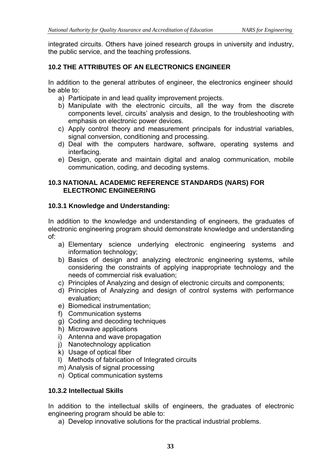integrated circuits. Others have joined research groups in university and industry, the public service, and the teaching professions.

# **10.2 THE ATTRIBUTES OF AN ELECTRONICS ENGINEER**

In addition to the general attributes of engineer, the electronics engineer should be able to:

- a) Participate in and lead quality improvement projects.
- b) Manipulate with the electronic circuits, all the way from the discrete components level, circuits' analysis and design, to the troubleshooting with emphasis on electronic power devices.
- c) Apply control theory and measurement principals for industrial variables, signal conversion, conditioning and processing.
- d) Deal with the computers hardware, software, operating systems and interfacing.
- e) Design, operate and maintain digital and analog communication, mobile communication, coding, and decoding systems.

#### **10.3 NATIONAL ACADEMIC REFERENCE STANDARDS (NARS) FOR ELECTRONIC ENGINEERING**

#### **10.3.1 Knowledge and Understanding:**

In addition to the knowledge and understanding of engineers, the graduates of electronic engineering program should demonstrate knowledge and understanding of:

- a) Elementary science underlying electronic engineering systems and information technology;
- b) Basics of design and analyzing electronic engineering systems, while considering the constraints of applying inappropriate technology and the needs of commercial risk evaluation;
- c) Principles of Analyzing and design of electronic circuits and components;
- d) Principles of Analyzing and design of control systems with performance evaluation;
- e) Biomedical instrumentation;
- f) Communication systems
- g) Coding and decoding techniques
- h) Microwave applications
- i) Antenna and wave propagation
- j) Nanotechnology application
- k) Usage of optical fiber
- l) Methods of fabrication of Integrated circuits
- m) Analysis of signal processing
- n) Optical communication systems

#### **10.3.2 Intellectual Skills**

In addition to the intellectual skills of engineers, the graduates of electronic engineering program should be able to:

a) Develop innovative solutions for the practical industrial problems.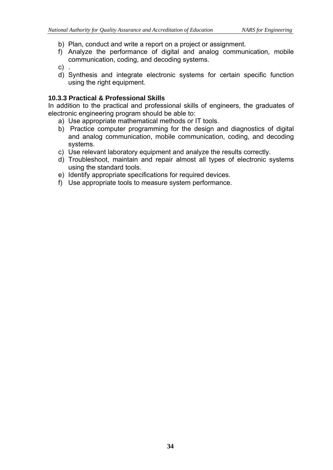- b) Plan, conduct and write a report on a project or assignment.
- f) Analyze the performance of digital and analog communication, mobile communication, coding, and decoding systems.
- $c)$ .
- d) Synthesis and integrate electronic systems for certain specific function using the right equipment.

#### **10.3.3 Practical & Professional Skills**

In addition to the practical and professional skills of engineers, the graduates of electronic engineering program should be able to:

- a) Use appropriate mathematical methods or IT tools.
- b) Practice computer programming for the design and diagnostics of digital and analog communication, mobile communication, coding, and decoding systems.
- c) Use relevant laboratory equipment and analyze the results correctly.
- d) Troubleshoot, maintain and repair almost all types of electronic systems using the standard tools.
- e) Identify appropriate specifications for required devices.
- f) Use appropriate tools to measure system performance.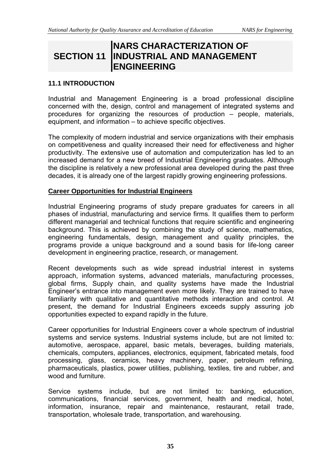# **SECTION 11 INDUSTRIAL AND MANAGEMENT NARS CHARACTERIZATION OF ENGINEERING**

#### **11.1 INTRODUCTION**

Industrial and Management Engineering is a broad professional discipline concerned with the, design, control and management of integrated systems and procedures for organizing the resources of production – people, materials, equipment, and information – to achieve specific objectives.

The complexity of modern industrial and service organizations with their emphasis on competitiveness and quality increased their need for effectiveness and higher productivity. The extensive use of automation and computerization has led to an increased demand for a new breed of Industrial Engineering graduates. Although the discipline is relatively a new professional area developed during the past three decades, it is already one of the largest rapidly growing engineering professions.

#### **Career Opportunities for Industrial Engineers**

Industrial Engineering programs of study prepare graduates for careers in all phases of industrial, manufacturing and service firms. It qualifies them to perform different managerial and technical functions that require scientific and engineering background. This is achieved by combining the study of science, mathematics, engineering fundamentals, design, management and quality principles, the programs provide a unique background and a sound basis for life-long career development in engineering practice, research, or management.

Recent developments such as wide spread industrial interest in systems approach, information systems, advanced materials, manufacturing processes, global firms, Supply chain, and quality systems have made the Industrial Engineer's entrance into management even more likely. They are trained to have familiarity with qualitative and quantitative methods interaction and control. At present, the demand for Industrial Engineers exceeds supply assuring job opportunities expected to expand rapidly in the future.

Career opportunities for Industrial Engineers cover a whole spectrum of industrial systems and service systems. Industrial systems include, but are not limited to: automotive, aerospace, apparel, basic metals, beverages, building materials, chemicals, computers, appliances, electronics, equipment, fabricated metals, food processing, glass, ceramics, heavy machinery, paper, petroleum refining, pharmaceuticals, plastics, power utilities, publishing, textiles, tire and rubber, and wood and furniture.

Service systems include, but are not limited to: banking, education, communications, financial services, government, health and medical, hotel, information, insurance, repair and maintenance, restaurant, retail trade, transportation, wholesale trade, transportation, and warehousing.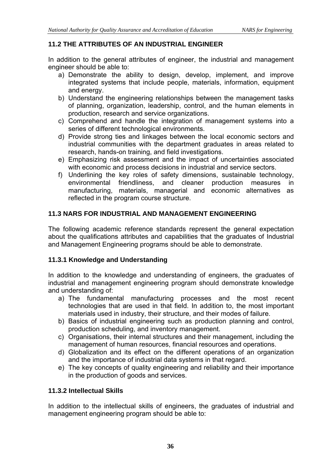# **11.2 THE ATTRIBUTES OF AN INDUSTRIAL ENGINEER**

In addition to the general attributes of engineer, the industrial and management engineer should be able to:

- a) Demonstrate the ability to design, develop, implement, and improve integrated systems that include people, materials, information, equipment and energy.
- b) Understand the engineering relationships between the management tasks of planning, organization, leadership, control, and the human elements in production, research and service organizations.
- c) Comprehend and handle the integration of management systems into a series of different technological environments.
- d) Provide strong ties and linkages between the local economic sectors and industrial communities with the department graduates in areas related to research, hands-on training, and field investigations.
- e) Emphasizing risk assessment and the impact of uncertainties associated with economic and process decisions in industrial and service sectors.
- f) Underlining the key roles of safety dimensions, sustainable technology, environmental friendliness, and cleaner production measures in manufacturing, materials, managerial and economic alternatives as reflected in the program course structure.

## **11.3 NARS FOR INDUSTRIAL AND MANAGEMENT ENGINEERING**

The following academic reference standards represent the general expectation about the qualifications attributes and capabilities that the graduates of Industrial and Management Engineering programs should be able to demonstrate.

## **11.3.1 Knowledge and Understanding**

In addition to the knowledge and understanding of engineers, the graduates of industrial and management engineering program should demonstrate knowledge and understanding of:

- a) The fundamental manufacturing processes and the most recent technologies that are used in that field. In addition to, the most important materials used in industry, their structure, and their modes of failure.
- b) Basics of industrial engineering such as production planning and control, production scheduling, and inventory management.
- c) Organisations, their internal structures and their management, including the management of human resources, financial resources and operations.
- d) Globalization and its effect on the different operations of an organization and the importance of industrial data systems in that regard.
- e) The key concepts of quality engineering and reliability and their importance in the production of goods and services.

#### **11.3.2 Intellectual Skills**

In addition to the intellectual skills of engineers, the graduates of industrial and management engineering program should be able to: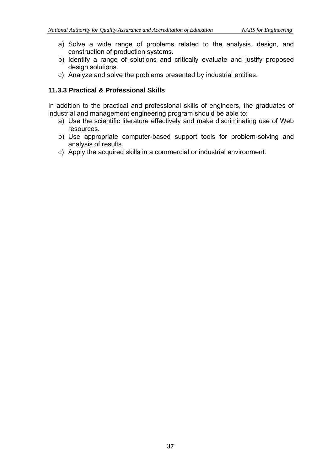- a) Solve a wide range of problems related to the analysis, design, and construction of production systems.
- b) Identify a range of solutions and critically evaluate and justify proposed design solutions.
- c) Analyze and solve the problems presented by industrial entities.

## **11.3.3 Practical & Professional Skills**

In addition to the practical and professional skills of engineers, the graduates of industrial and management engineering program should be able to:

- a) Use the scientific literature effectively and make discriminating use of Web resources.
- b) Use appropriate computer-based support tools for problem-solving and analysis of results.
- c) Apply the acquired skills in a commercial or industrial environment.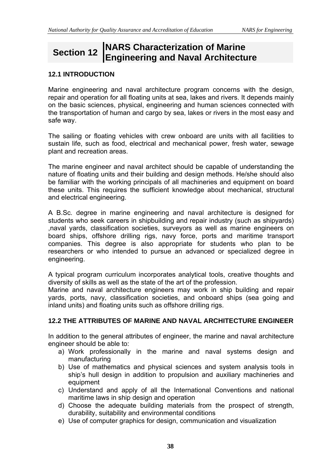# **Section 12 NARS Characterization of Marine Engineering and Naval Architecture**

#### **12.1 INTRODUCTION**

Marine engineering and naval architecture program concerns with the design, repair and operation for all floating units at sea, lakes and rivers. It depends mainly on the basic sciences, physical, engineering and human sciences connected with the transportation of human and cargo by sea, lakes or rivers in the most easy and safe way.

The sailing or floating vehicles with crew onboard are units with all facilities to sustain life, such as food, electrical and mechanical power, fresh water, sewage plant and recreation areas.

The marine engineer and naval architect should be capable of understanding the nature of floating units and their building and design methods. He/she should also be familiar with the working principals of all machineries and equipment on board these units. This requires the sufficient knowledge about mechanical, structural and electrical engineering.

A B.Sc. degree in marine engineering and naval architecture is designed for students who seek careers in shipbuilding and repair industry (such as shipyards) ,naval yards, classification societies, surveyors as well as marine engineers on board ships, offshore drilling rigs, navy force, ports and maritime transport companies. This degree is also appropriate for students who plan to be researchers or who intended to pursue an advanced or specialized degree in engineering.

A typical program curriculum incorporates analytical tools, creative thoughts and diversity of skills as well as the state of the art of the profession.

Marine and naval architecture engineers may work in ship building and repair yards, ports, navy, classification societies, and onboard ships (sea going and inland units) and floating units such as offshore drilling rigs.

## **12.2 THE ATTRIBUTES OF MARINE AND NAVAL ARCHITECTURE ENGINEER**

In addition to the general attributes of engineer, the marine and naval architecture engineer should be able to:

- a) Work professionally in the marine and naval systems design and manufacturing
- b) Use of mathematics and physical sciences and system analysis tools in ship's hull design in addition to propulsion and auxiliary machineries and equipment
- c) Understand and apply of all the International Conventions and national maritime laws in ship design and operation
- d) Choose the adequate building materials from the prospect of strength, durability, suitability and environmental conditions
- e) Use of computer graphics for design, communication and visualization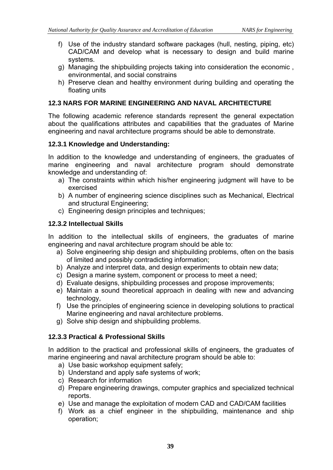- f) Use of the industry standard software packages (hull, nesting, piping, etc) CAD/CAM and develop what is necessary to design and build marine systems.
- g) Managing the shipbuilding projects taking into consideration the economic , environmental, and social constrains
- h) Preserve clean and healthy environment during building and operating the floating units

#### **12.3 NARS FOR MARINE ENGINEERING AND NAVAL ARCHITECTURE**

The following academic reference standards represent the general expectation about the qualifications attributes and capabilities that the graduates of Marine engineering and naval architecture programs should be able to demonstrate.

#### **12.3.1 Knowledge and Understanding:**

In addition to the knowledge and understanding of engineers, the graduates of marine engineering and naval architecture program should demonstrate knowledge and understanding of:

- a) The constraints within which his/her engineering judgment will have to be exercised
- b) A number of engineering science disciplines such as Mechanical, Electrical and structural Engineering;
- c) Engineering design principles and techniques;

#### **12.3.2 Intellectual Skills**

In addition to the intellectual skills of engineers, the graduates of marine engineering and naval architecture program should be able to:

- a) Solve engineering ship design and shipbuilding problems, often on the basis of limited and possibly contradicting information;
- b) Analyze and interpret data, and design experiments to obtain new data;
- c) Design a marine system, component or process to meet a need;
- d) Evaluate designs, shipbuilding processes and propose improvements;
- e) Maintain a sound theoretical approach in dealing with new and advancing technology,
- f) Use the principles of engineering science in developing solutions to practical Marine engineering and naval architecture problems.
- g) Solve ship design and shipbuilding problems.

## **12.3.3 Practical & Professional Skills**

In addition to the practical and professional skills of engineers, the graduates of marine engineering and naval architecture program should be able to:

- a) Use basic workshop equipment safely;
- b) Understand and apply safe systems of work;
- c) Research for information
- d) Prepare engineering drawings, computer graphics and specialized technical reports.
- e) Use and manage the exploitation of modern CAD and CAD/CAM facilities
- f) Work as a chief engineer in the shipbuilding, maintenance and ship operation;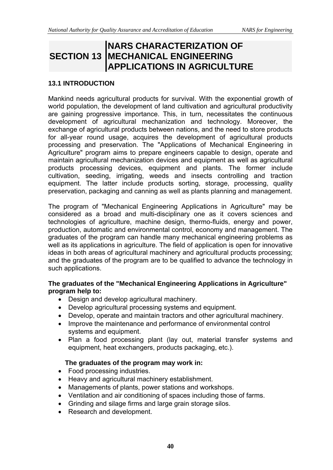# **SECTION 13 MECHANICAL ENGINEERING NARS CHARACTERIZATION OF APPLICATIONS IN AGRICULTURE**

#### **13.1 INTRODUCTION**

Mankind needs agricultural products for survival. With the exponential growth of world population, the development of land cultivation and agricultural productivity are gaining progressive importance. This, in turn, necessitates the continuous development of agricultural mechanization and technology. Moreover, the exchange of agricultural products between nations, and the need to store products for all-year round usage, acquires the development of agricultural products processing and preservation. The "Applications of Mechanical Engineering in Agriculture" program aims to prepare engineers capable to design, operate and maintain agricultural mechanization devices and equipment as well as agricultural products processing devices, equipment and plants. The former include cultivation, seeding, irrigating, weeds and insects controlling and traction equipment. The latter include products sorting, storage, processing, quality preservation, packaging and canning as well as plants planning and management.

The program of "Mechanical Engineering Applications in Agriculture" may be considered as a broad and multi-disciplinary one as it covers sciences and technologies of agriculture, machine design, thermo-fluids, energy and power, production, automatic and environmental control, economy and management. The graduates of the program can handle many mechanical engineering problems as well as its applications in agriculture. The field of application is open for innovative ideas in both areas of agricultural machinery and agricultural products processing; and the graduates of the program are to be qualified to advance the technology in such applications.

#### **The graduates of the "Mechanical Engineering Applications in Agriculture" program help to:**

- Design and develop agricultural machinery.
- Develop agricultural processing systems and equipment.
- Develop, operate and maintain tractors and other agricultural machinery.
- Improve the maintenance and performance of environmental control systems and equipment.
- Plan a food processing plant (lay out, material transfer systems and equipment, heat exchangers, products packaging, etc.).

#### **The graduates of the program may work in:**

- Food processing industries.
- Heavy and agricultural machinery establishment.
- Managements of plants, power stations and workshops.
- Ventilation and air conditioning of spaces including those of farms.
- Grinding and silage firms and large grain storage silos.
- Research and development.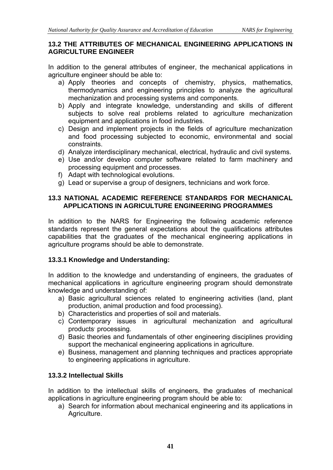#### **13.2 THE ATTRIBUTES OF MECHANICAL ENGINEERING APPLICATIONS IN AGRICULTURE ENGINEER**

In addition to the general attributes of engineer, the mechanical applications in agriculture engineer should be able to:

- a) Apply theories and concepts of chemistry, physics, mathematics, thermodynamics and engineering principles to analyze the agricultural mechanization and processing systems and components.
- b) Apply and integrate knowledge, understanding and skills of different subjects to solve real problems related to agriculture mechanization equipment and applications in food industries.
- c) Design and implement projects in the fields of agriculture mechanization and food processing subjected to economic, environmental and social constraints.
- d) Analyze interdisciplinary mechanical, electrical, hydraulic and civil systems.
- e) Use and/or develop computer software related to farm machinery and processing equipment and processes.
- f) Adapt with technological evolutions.
- g) Lead or supervise a group of designers, technicians and work force.

## **13.3 NATIONAL ACADEMIC REFERENCE STANDARDS FOR MECHANICAL APPLICATIONS IN AGRICULTURE ENGINEERING PROGRAMMES**

In addition to the NARS for Engineering the following academic reference standards represent the general expectations about the qualifications attributes capabilities that the graduates of the mechanical engineering applications in agriculture programs should be able to demonstrate.

# **13.3.1 Knowledge and Understanding:**

In addition to the knowledge and understanding of engineers, the graduates of mechanical applications in agriculture engineering program should demonstrate knowledge and understanding of:

- a) Basic agricultural sciences related to engineering activities (land, plant production, animal production and food processing).
- b) Characteristics and properties of soil and materials.
- c) Contemporary issues in agricultural mechanization and agricultural products processing.
- d) Basic theories and fundamentals of other engineering disciplines providing support the mechanical engineering applications in agriculture.
- e) Business, management and planning techniques and practices appropriate to engineering applications in agriculture.

# **13.3.2 Intellectual Skills**

In addition to the intellectual skills of engineers, the graduates of mechanical applications in agriculture engineering program should be able to:

a) Search for information about mechanical engineering and its applications in Agriculture.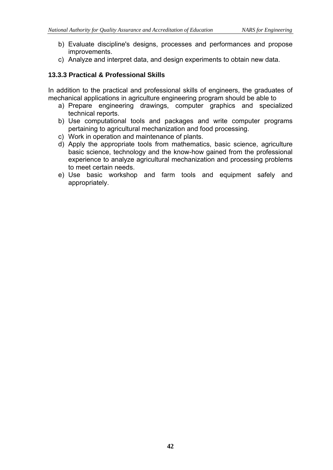- b) Evaluate discipline's designs, processes and performances and propose improvements.
- c) Analyze and interpret data, and design experiments to obtain new data.

## **13.3.3 Practical & Professional Skills**

In addition to the practical and professional skills of engineers, the graduates of mechanical applications in agriculture engineering program should be able to

- a) Prepare engineering drawings, computer graphics and specialized technical reports.
- b) Use computational tools and packages and write computer programs pertaining to agricultural mechanization and food processing.
- c) Work in operation and maintenance of plants.
- d) Apply the appropriate tools from mathematics, basic science, agriculture basic science, technology and the know-how gained from the professional experience to analyze agricultural mechanization and processing problems to meet certain needs.
- e) Use basic workshop and farm tools and equipment safely and appropriately.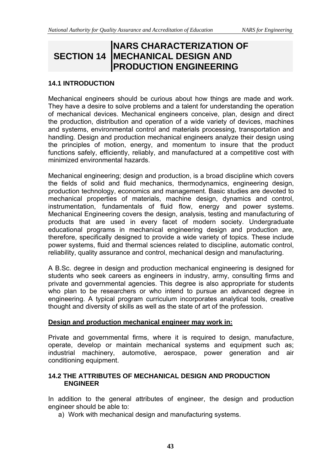# **SECTION 14 MECHANICAL DESIGN AND NARS CHARACTERIZATION OF PRODUCTION ENGINEERING**

#### **14.1 INTRODUCTION**

Mechanical engineers should be curious about how things are made and work. They have a desire to solve problems and a talent for understanding the operation of mechanical devices. Mechanical engineers conceive, plan, design and direct the production, distribution and operation of a wide variety of devices, machines and systems, environmental control and materials processing, transportation and handling. Design and production mechanical engineers analyze their design using the principles of motion, energy, and momentum to insure that the product functions safely, efficiently, reliably, and manufactured at a competitive cost with minimized environmental hazards.

Mechanical engineering; design and production, is a broad discipline which covers the fields of solid and fluid mechanics, thermodynamics, engineering design, production technology, economics and management. Basic studies are devoted to mechanical properties of materials, machine design, dynamics and control, instrumentation, fundamentals of fluid flow, energy and power systems. Mechanical Engineering covers the design, analysis, testing and manufacturing of products that are used in every facet of modern society. Undergraduate educational programs in mechanical engineering design and production are, therefore, specifically designed to provide a wide variety of topics. These include power systems, fluid and thermal sciences related to discipline, automatic control, reliability, quality assurance and control, mechanical design and manufacturing.

A B.Sc. degree in design and production mechanical engineering is designed for students who seek careers as engineers in industry, army, consulting firms and private and governmental agencies. This degree is also appropriate for students who plan to be researchers or who intend to pursue an advanced degree in engineering. A typical program curriculum incorporates analytical tools, creative thought and diversity of skills as well as the state of art of the profession.

#### **Design and production mechanical engineer may work in:**

Private and governmental firms, where it is required to design, manufacture, operate, develop or maintain mechanical systems and equipment such as; industrial machinery, automotive, aerospace, power generation and air conditioning equipment.

#### **14.2 THE ATTRIBUTES OF MECHANICAL DESIGN AND PRODUCTION ENGINEER**

In addition to the general attributes of engineer, the design and production engineer should be able to:

a) Work with mechanical design and manufacturing systems.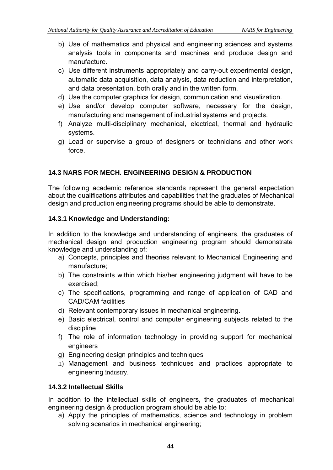- b) Use of mathematics and physical and engineering sciences and systems analysis tools in components and machines and produce design and manufacture.
- c) Use different instruments appropriately and carry-out experimental design, automatic data acquisition, data analysis, data reduction and interpretation, and data presentation, both orally and in the written form.
- d) Use the computer graphics for design, communication and visualization.
- e) Use and/or develop computer software, necessary for the design, manufacturing and management of industrial systems and projects.
- f) Analyze multi-disciplinary mechanical, electrical, thermal and hydraulic systems.
- g) Lead or supervise a group of designers or technicians and other work force.

## **14.3 NARS FOR MECH. ENGINEERING DESIGN & PRODUCTION**

The following academic reference standards represent the general expectation about the qualifications attributes and capabilities that the graduates of Mechanical design and production engineering programs should be able to demonstrate.

#### **14.3.1 Knowledge and Understanding:**

In addition to the knowledge and understanding of engineers, the graduates of mechanical design and production engineering program should demonstrate knowledge and understanding of:

- a) Concepts, principles and theories relevant to Mechanical Engineering and manufacture;
- b) The constraints within which his/her engineering judgment will have to be exercised;
- c) The specifications, programming and range of application of CAD and CAD/CAM facilities
- d) Relevant contemporary issues in mechanical engineering.
- e) Basic electrical, control and computer engineering subjects related to the discipline
- f) The role of information technology in providing support for mechanical engineers
- g) Engineering design principles and techniques
- h) Management and business techniques and practices appropriate to engineering industry.

## **14.3.2 Intellectual Skills**

In addition to the intellectual skills of engineers, the graduates of mechanical engineering design & production program should be able to:

a) Apply the principles of mathematics, science and technology in problem solving scenarios in mechanical engineering;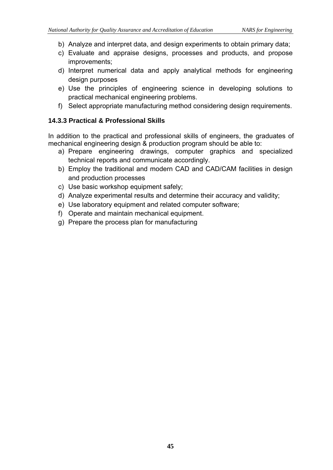- b) Analyze and interpret data, and design experiments to obtain primary data;
- c) Evaluate and appraise designs, processes and products, and propose improvements;
- d) Interpret numerical data and apply analytical methods for engineering design purposes
- e) Use the principles of engineering science in developing solutions to practical mechanical engineering problems.
- f) Select appropriate manufacturing method considering design requirements.

#### **14.3.3 Practical & Professional Skills**

In addition to the practical and professional skills of engineers, the graduates of mechanical engineering design & production program should be able to:

- a) Prepare engineering drawings, computer graphics and specialized technical reports and communicate accordingly.
- b) Employ the traditional and modern CAD and CAD/CAM facilities in design and production processes
- c) Use basic workshop equipment safely;
- d) Analyze experimental results and determine their accuracy and validity;
- e) Use laboratory equipment and related computer software;
- f) Operate and maintain mechanical equipment.
- g) Prepare the process plan for manufacturing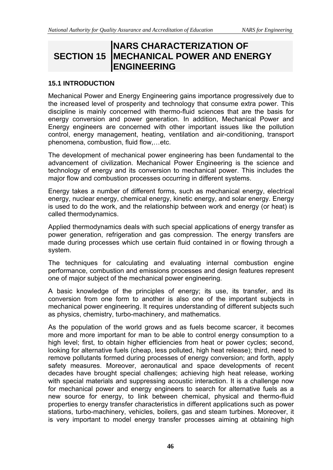# **SECTION 15 MECHANICAL POWER AND ENERGY NARS CHARACTERIZATION OF ENGINEERING**

#### **15.1 INTRODUCTION**

Mechanical Power and Energy Engineering gains importance progressively due to the increased level of prosperity and technology that consume extra power. This discipline is mainly concerned with thermo-fluid sciences that are the basis for energy conversion and power generation. In addition, Mechanical Power and Energy engineers are concerned with other important issues like the pollution control, energy management, heating, ventilation and air-conditioning, transport phenomena, combustion, fluid flow,…etc.

The development of mechanical power engineering has been fundamental to the advancement of civilization. Mechanical Power Engineering is the science and technology of energy and its conversion to mechanical power. This includes the major flow and combustion processes occurring in different systems.

Energy takes a number of different forms, such as mechanical energy, electrical energy, nuclear energy, chemical energy, kinetic energy, and solar energy. Energy is used to do the work, and the relationship between work and energy (or heat) is called thermodynamics.

Applied thermodynamics deals with such special applications of energy transfer as power generation, refrigeration and gas compression. The energy transfers are made during processes which use certain fluid contained in or flowing through a system.

The techniques for calculating and evaluating internal combustion engine performance, combustion and emissions processes and design features represent one of major subject of the mechanical power engineering.

A basic knowledge of the principles of energy; its use, its transfer, and its conversion from one form to another is also one of the important subjects in mechanical power engineering. It requires understanding of different subjects such as physics, chemistry, turbo-machinery, and mathematics.

As the population of the world grows and as fuels become scarcer, it becomes more and more important for man to be able to control energy consumption to a high level; first, to obtain higher efficiencies from heat or power cycles; second, looking for alternative fuels (cheap, less polluted, high heat release); third, need to remove pollutants formed during processes of energy conversion; and forth, apply safety measures. Moreover, aeronautical and space developments of recent decades have brought special challenges; achieving high heat release, working with special materials and suppressing acoustic interaction. It is a challenge now for mechanical power and energy engineers to search for alternative fuels as a new source for energy, to link between chemical, physical and thermo-fluid properties to energy transfer characteristics in different applications such as power stations, turbo-machinery, vehicles, boilers, gas and steam turbines. Moreover, it is very important to model energy transfer processes aiming at obtaining high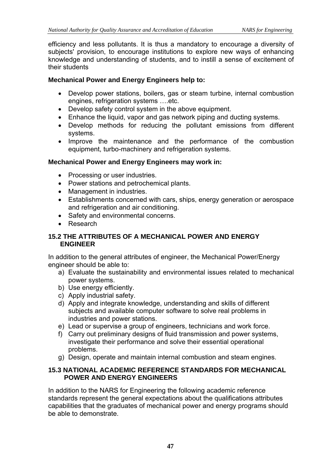efficiency and less pollutants. It is thus a mandatory to encourage a diversity of subjects' provision, to encourage institutions to explore new ways of enhancing knowledge and understanding of students, and to instill a sense of excitement of their students

# **Mechanical Power and Energy Engineers help to:**

- Develop power stations, boilers, gas or steam turbine, internal combustion engines, refrigeration systems ….etc.
- Develop safety control system in the above equipment.
- Enhance the liquid, vapor and gas network piping and ducting systems.
- Develop methods for reducing the pollutant emissions from different systems.
- Improve the maintenance and the performance of the combustion equipment, turbo-machinery and refrigeration systems.

# **Mechanical Power and Energy Engineers may work in:**

- Processing or user industries.
- Power stations and petrochemical plants.
- Management in industries.
- Establishments concerned with cars, ships, energy generation or aerospace and refrigeration and air conditioning.
- Safety and environmental concerns.
- Research

## **15.2 THE ATTRIBUTES OF A MECHANICAL POWER AND ENERGY ENGINEER**

In addition to the general attributes of engineer, the Mechanical Power/Energy engineer should be able to:

- a) Evaluate the sustainability and environmental issues related to mechanical power systems.
- b) Use energy efficiently.
- c) Apply industrial safety.
- d) Apply and integrate knowledge, understanding and skills of different subjects and available computer software to solve real problems in industries and power stations.
- e) Lead or supervise a group of engineers, technicians and work force.
- f) Carry out preliminary designs of fluid transmission and power systems, investigate their performance and solve their essential operational problems.
- g) Design, operate and maintain internal combustion and steam engines.

#### **15.3 NATIONAL ACADEMIC REFERENCE STANDARDS FOR MECHANICAL POWER AND ENERGY ENGINEERS**

In addition to the NARS for Engineering the following academic reference standards represent the general expectations about the qualifications attributes capabilities that the graduates of mechanical power and energy programs should be able to demonstrate.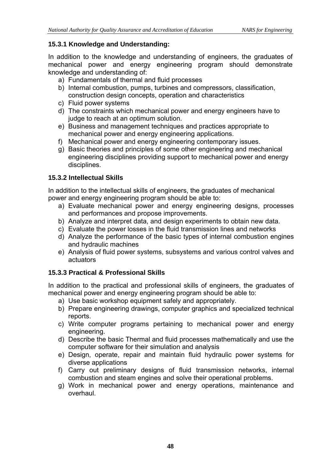# **15.3.1 Knowledge and Understanding:**

In addition to the knowledge and understanding of engineers, the graduates of mechanical power and energy engineering program should demonstrate knowledge and understanding of:

- a) Fundamentals of thermal and fluid processes
- b) Internal combustion, pumps, turbines and compressors, classification, construction design concepts, operation and characteristics
- c) Fluid power systems
- d) The constraints which mechanical power and energy engineers have to judge to reach at an optimum solution.
- e) Business and management techniques and practices appropriate to mechanical power and energy engineering applications.
- f) Mechanical power and energy engineering contemporary issues.
- g) Basic theories and principles of some other engineering and mechanical engineering disciplines providing support to mechanical power and energy disciplines.

# **15.3.2 Intellectual Skills**

In addition to the intellectual skills of engineers, the graduates of mechanical power and energy engineering program should be able to:

- a) Evaluate mechanical power and energy engineering designs, processes and performances and propose improvements.
- b) Analyze and interpret data, and design experiments to obtain new data.
- c) Evaluate the power losses in the fluid transmission lines and networks
- d) Analyze the performance of the basic types of internal combustion engines and hydraulic machines
- e) Analysis of fluid power systems, subsystems and various control valves and actuators

# **15.3.3 Practical & Professional Skills**

In addition to the practical and professional skills of engineers, the graduates of mechanical power and energy engineering program should be able to:

- a) Use basic workshop equipment safely and appropriately.
- b) Prepare engineering drawings, computer graphics and specialized technical reports.
- c) Write computer programs pertaining to mechanical power and energy engineering.
- d) Describe the basic Thermal and fluid processes mathematically and use the computer software for their simulation and analysis
- e) Design, operate, repair and maintain fluid hydraulic power systems for diverse applications
- f) Carry out preliminary designs of fluid transmission networks, internal combustion and steam engines and solve their operational problems.
- g) Work in mechanical power and energy operations, maintenance and overhaul.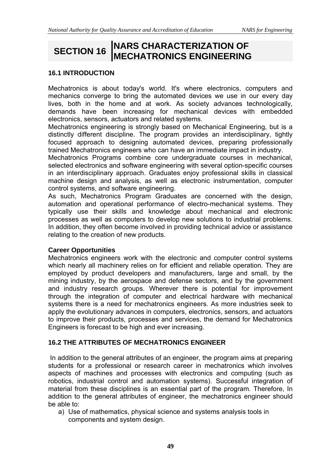# **SECTION 16 NARS CHARACTERIZATION OF MECHATRONICS ENGINEERING**

#### **16.1 INTRODUCTION**

Mechatronics is about today's world. It's where electronics, computers and mechanics converge to bring the automated devices we use in our every day lives, both in the home and at work. As society advances technologically, demands have been increasing for mechanical devices with embedded electronics, sensors, actuators and related systems.

Mechatronics engineering is strongly based on Mechanical Engineering, but is a distinctly different discipline. The program provides an interdisciplinary, tightly focused approach to designing automated devices, preparing professionally trained Mechatronics engineers who can have an immediate impact in industry.

Mechatronics Programs combine core undergraduate courses in mechanical, selected electronics and software engineering with several option-specific courses in an interdisciplinary approach. Graduates enjoy professional skills in classical machine design and analysis, as well as electronic instrumentation, computer control systems, and software engineering.

As such, Mechatronics Program Graduates are concerned with the design, automation and operational performance of electro-mechanical systems. They typically use their skills and knowledge about mechanical and electronic processes as well as computers to develop new solutions to industrial problems. In addition, they often become involved in providing technical advice or assistance relating to the creation of new products.

#### **Career Opportunities**

Mechatronics engineers work with the electronic and computer control systems which nearly all machinery relies on for efficient and reliable operation. They are employed by product developers and manufacturers, large and small, by the mining industry, by the aerospace and defense sectors, and by the government and industry research groups. Wherever there is potential for improvement through the integration of computer and electrical hardware with mechanical systems there is a need for mechatronics engineers. As more industries seek to apply the evolutionary advances in computers, electronics, sensors, and actuators to improve their products, processes and services, the demand for Mechatronics Engineers is forecast to be high and ever increasing.

## **16.2 THE ATTRIBUTES OF MECHATRONICS ENGINEER**

 In addition to the general attributes of an engineer, the program aims at preparing students for a professional or research career in mechatronics which involves aspects of machines and processes with electronics and computing (such as robotics, industrial control and automation systems). Successful integration of material from these disciplines is an essential part of the program. Therefore, In addition to the general attributes of engineer, the mechatronics engineer should be able to:

a) Use of mathematics, physical science and systems analysis tools in components and system design.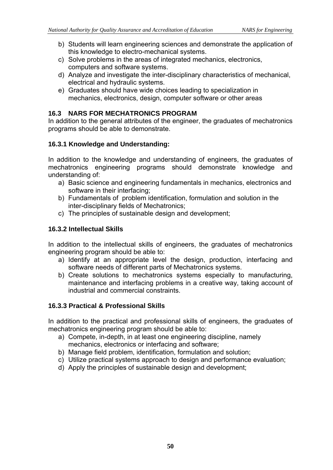- b) Students will learn engineering sciences and demonstrate the application of this knowledge to electro-mechanical systems.
- c) Solve problems in the areas of integrated mechanics, electronics, computers and software systems.
- d) Analyze and investigate the inter-disciplinary characteristics of mechanical, electrical and hydraulic systems.
- e) Graduates should have wide choices leading to specialization in mechanics, electronics, design, computer software or other areas

#### **16.3 NARS FOR MECHATRONICS PROGRAM**

In addition to the general attributes of the engineer, the graduates of mechatronics programs should be able to demonstrate.

## **16.3.1 Knowledge and Understanding:**

In addition to the knowledge and understanding of engineers, the graduates of mechatronics engineering programs should demonstrate knowledge and understanding of:

- a) Basic science and engineering fundamentals in mechanics, electronics and software in their interfacing;
- b) Fundamentals of problem identification, formulation and solution in the inter-disciplinary fields of Mechatronics;
- c) The principles of sustainable design and development;

#### **16.3.2 Intellectual Skills**

In addition to the intellectual skills of engineers, the graduates of mechatronics engineering program should be able to:

- a) Identify at an appropriate level the design, production, interfacing and software needs of different parts of Mechatronics systems.
- b) Create solutions to mechatronics systems especially to manufacturing, maintenance and interfacing problems in a creative way, taking account of industrial and commercial constraints.

#### **16.3.3 Practical & Professional Skills**

In addition to the practical and professional skills of engineers, the graduates of mechatronics engineering program should be able to:

- a) Compete, in-depth, in at least one engineering discipline, namely mechanics, electronics or interfacing and software;
- b) Manage field problem, identification, formulation and solution;
- c) Utilize practical systems approach to design and performance evaluation;
- d) Apply the principles of sustainable design and development;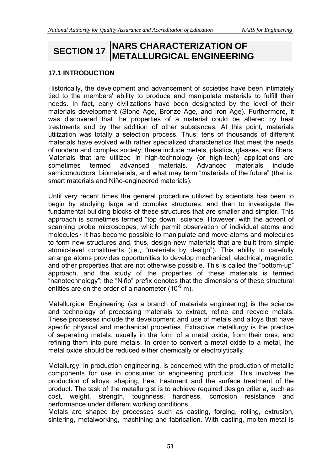# **SECTION 17 NARS CHARACTERIZATION OF METALLURGICAL ENGINEERING**

#### **17.1 INTRODUCTION**

Historically, the development and advancement of societies have been intimately tied to the members' ability to produce and manipulate materials to fulfill their needs. In fact, early civilizations have been designated by the level of their materials development (Stone Age, Bronze Age, and Iron Age). Furthermore, it was discovered that the properties of a material could be altered by heat treatments and by the addition of other substances. At this point, materials utilization was totally a selection process. Thus, tens of thousands of different materials have evolved with rather specialized characteristics that meet the needs of modern and complex society; these include metals, plastics, glasses, and fibers. Materials that are utilized in high-technology (or high-tech) applications are sometimes termed advanced materials. Advanced materials include semiconductors, biomaterials, and what may term "materials of the future" (that is, smart materials and Niño-engineered materials).

Until very recent times the general procedure utilized by scientists has been to begin by studying large and complex structures, and then to investigate the fundamental building blocks of these structures that are smaller and simpler. This approach is sometimes termed "top down" science. However, with the advent of scanning probe microscopes, which permit observation of individual atoms and molecules٠ It has become possible to manipulate and move atoms and molecules to form new structures and, thus, design new materials that are built from simple atomic-level constituents (i.e., "materials by design"). This ability to carefully arrange atoms provides opportunities to develop mechanical, electrical, magnetic, and other properties that are not otherwise possible. This is called the "bottom-up" approach, and the study of the properties of these materials is termed "nanotechnology"; the "Niño" prefix denotes that the dimensions of these structural entities are on the order of a nanometer  $(10^{-9} \text{ m})$ .

Metallurgical Engineering (as a branch of materials engineering) is the science and technology of processing materials to extract, refine and recycle metals. These processes include the development and use of metals and alloys that have specific physical and mechanical properties. Extractive metallurgy is the practice of separating metals, usually in the form of a metal oxide, from their ores, and refining them into pure metals. In order to convert a metal oxide to a metal, the metal oxide should be reduced either chemically or electrolytically.

Metallurgy, in production engineering, is concerned with the production of metallic components for use in consumer or engineering products. This involves the production of alloys, shaping, heat treatment and the surface treatment of the product. The task of the metallurgist is to achieve required design criteria, such as cost, weight, strength, toughness, hardness, corrosion resistance and performance under different working conditions.

Metals are shaped by processes such as casting, forging, rolling, extrusion, sintering, metalworking, machining and fabrication. With casting, molten metal is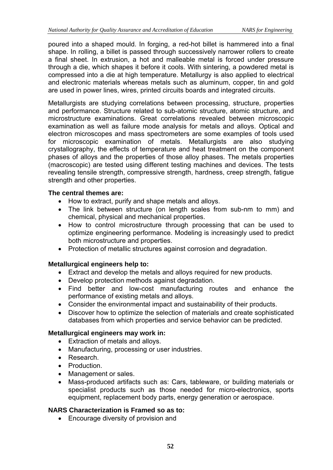poured into a shaped mould. In forging, a red-hot billet is hammered into a final shape. In rolling, a billet is passed through successively narrower rollers to create a final sheet. In extrusion, a hot and malleable metal is forced under pressure through a die, which shapes it before it cools. With sintering, a powdered metal is compressed into a die at high temperature. Metallurgy is also applied to electrical and electronic materials whereas metals such as aluminum, copper, tin and gold are used in power lines, wires, printed circuits boards and integrated circuits.

Metallurgists are studying correlations between processing, structure, properties and performance. Structure related to sub-atomic structure, atomic structure, and microstructure examinations. Great correlations revealed between microscopic examination as well as failure mode analysis for metals and alloys. Optical and electron microscopes and mass spectrometers are some examples of tools used for microscopic examination of metals. Metallurgists are also studying crystallography, the effects of temperature and heat treatment on the component phases of alloys and the properties of those alloy phases. The metals properties (macroscopic) are tested using different testing machines and devices. The tests revealing tensile strength, compressive strength, hardness, creep strength, fatigue strength and other properties.

#### **The central themes are:**

- How to extract, purify and shape metals and alloys.
- The link between structure (on length scales from sub-nm to mm) and chemical, physical and mechanical properties.
- How to control microstructure through processing that can be used to optimize engineering performance. Modeling is increasingly used to predict both microstructure and properties.
- Protection of metallic structures against corrosion and degradation.

## **Metallurgical engineers help to:**

- Extract and develop the metals and alloys required for new products.
- Develop protection methods against degradation.
- Find better and low-cost manufacturing routes and enhance the performance of existing metals and alloys.
- Consider the environmental impact and sustainability of their products.
- Discover how to optimize the selection of materials and create sophisticated databases from which properties and service behavior can be predicted.

## **Metallurgical engineers may work in:**

- Extraction of metals and alloys.
- Manufacturing, processing or user industries.
- Research.
- Production
- Management or sales.
- Mass-produced artifacts such as: Cars, tableware, or building materials or specialist products such as those needed for micro-electronics, sports equipment, replacement body parts, energy generation or aerospace.

## **NARS Characterization is Framed so as to:**

• Encourage diversity of provision and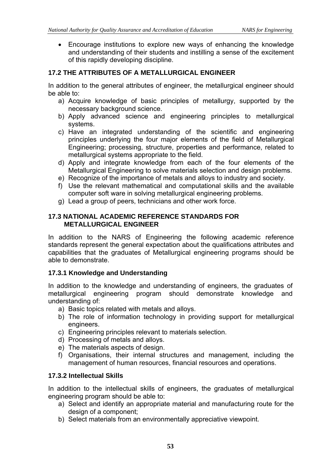Encourage institutions to explore new ways of enhancing the knowledge and understanding of their students and instilling a sense of the excitement of this rapidly developing discipline.

# **17.2 THE ATTRIBUTES OF A METALLURGICAL ENGINEER**

In addition to the general attributes of engineer, the metallurgical engineer should be able to:

- a) Acquire knowledge of basic principles of metallurgy, supported by the necessary background science.
- b) Apply advanced science and engineering principles to metallurgical systems.
- c) Have an integrated understanding of the scientific and engineering principles underlying the four major elements of the field of Metallurgical Engineering; processing, structure, properties and performance, related to metallurgical systems appropriate to the field.
- d) Apply and integrate knowledge from each of the four elements of the Metallurgical Engineering to solve materials selection and design problems.
- e) Recognize of the importance of metals and alloys to industry and society.
- f) Use the relevant mathematical and computational skills and the available computer soft ware in solving metallurgical engineering problems.
- g) Lead a group of peers, technicians and other work force.

#### **17.3 NATIONAL ACADEMIC REFERENCE STANDARDS FOR METALLURGICAL ENGINEER**

In addition to the NARS of Engineering the following academic reference standards represent the general expectation about the qualifications attributes and capabilities that the graduates of Metallurgical engineering programs should be able to demonstrate.

## **17.3.1 Knowledge and Understanding**

In addition to the knowledge and understanding of engineers, the graduates of metallurgical engineering program should demonstrate knowledge and understanding of:

- a) Basic topics related with metals and alloys.
- b) The role of information technology in providing support for metallurgical engineers.
- c) Engineering principles relevant to materials selection.
- d) Processing of metals and alloys.
- e) The materials aspects of design.
- f) Organisations, their internal structures and management, including the management of human resources, financial resources and operations.

## **17.3.2 Intellectual Skills**

In addition to the intellectual skills of engineers, the graduates of metallurgical engineering program should be able to:

- a) Select and identify an appropriate material and manufacturing route for the design of a component;
- b) Select materials from an environmentally appreciative viewpoint.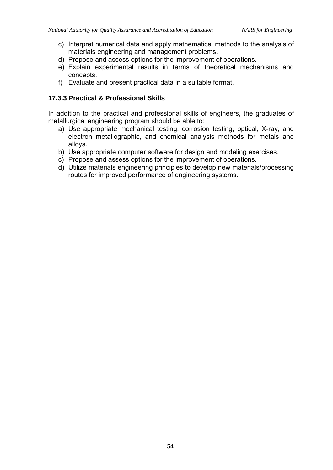- c) Interpret numerical data and apply mathematical methods to the analysis of materials engineering and management problems.
- d) Propose and assess options for the improvement of operations.
- e) Explain experimental results in terms of theoretical mechanisms and concepts.
- f) Evaluate and present practical data in a suitable format.

#### **17.3.3 Practical & Professional Skills**

In addition to the practical and professional skills of engineers, the graduates of metallurgical engineering program should be able to:

- a) Use appropriate mechanical testing, corrosion testing, optical, X-ray, and electron metallographic, and chemical analysis methods for metals and alloys.
- b) Use appropriate computer software for design and modeling exercises.
- c) Propose and assess options for the improvement of operations.
- d) Utilize materials engineering principles to develop new materials/processing routes for improved performance of engineering systems.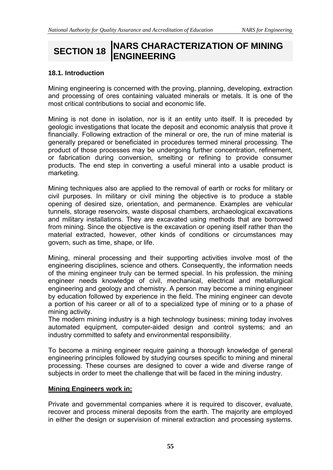# **SECTION 18 NARS CHARACTERIZATION OF MINING ENGINEERING**

#### **18.1. Introduction**

Mining engineering is concerned with the proving, planning, developing, extraction and processing of ores containing valuated minerals or metals. It is one of the most critical contributions to social and economic life.

Mining is not done in isolation, nor is it an entity unto itself. It is preceded by geologic investigations that locate the deposit and economic analysis that prove it financially. Following extraction of the mineral or ore, the run of mine material is generally prepared or beneficiated in procedures termed mineral processing. The product of those processes may be undergoing further concentration, refinement, or fabrication during conversion, smelting or refining to provide consumer products. The end step in converting a useful mineral into a usable product is marketing.

Mining techniques also are applied to the removal of earth or rocks for military or civil purposes. In military or civil mining the objective is to produce a stable opening of desired size, orientation, and permanence. Examples are vehicular tunnels, storage reservoirs, waste disposal chambers, archaeological excavations and military installations. They are excavated using methods that are borrowed from mining. Since the objective is the excavation or opening itself rather than the material extracted, however, other kinds of conditions or circumstances may govern, such as time, shape, or life.

Mining, mineral processing and their supporting activities involve most of the engineering disciplines, science and others. Consequently, the information needs of the mining engineer truly can be termed special. In his profession, the mining engineer needs knowledge of civil, mechanical, electrical and metallurgical engineering and geology and chemistry. A person may become a mining engineer by education followed by experience in the field. The mining engineer can devote a portion of his career or all of to a specialized type of mining or to a phase of mining activity.

The modern mining industry is a high technology business; mining today involves automated equipment, computer-aided design and control systems; and an industry committed to safety and environmental responsibility.

To become a mining engineer require gaining a thorough knowledge of general engineering principles followed by studying courses specific to mining and mineral processing. These courses are designed to cover a wide and diverse range of subjects in order to meet the challenge that will be faced in the mining industry.

#### **Mining Engineers work in:**

Private and governmental companies where it is required to discover, evaluate, recover and process mineral deposits from the earth. The majority are employed in either the design or supervision of mineral extraction and processing systems.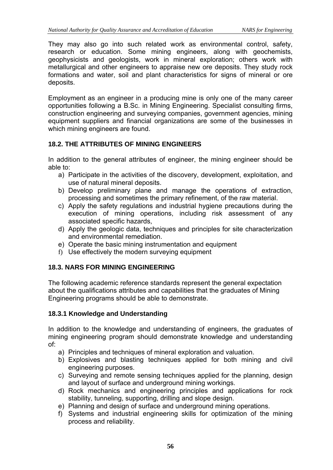They may also go into such related work as environmental control, safety, research or education. Some mining engineers, along with geochemists, geophysicists and geologists, work in mineral exploration; others work with metallurgical and other engineers to appraise new ore deposits. They study rock formations and water, soil and plant characteristics for signs of mineral or ore deposits.

Employment as an engineer in a producing mine is only one of the many career opportunities following a B.Sc. in Mining Engineering. Specialist consulting firms, construction engineering and surveying companies, government agencies, mining equipment suppliers and financial organizations are some of the businesses in which mining engineers are found.

# **18.2. THE ATTRIBUTES OF MINING ENGINEERS**

In addition to the general attributes of engineer, the mining engineer should be able to:

- a) Participate in the activities of the discovery, development, exploitation, and use of natural mineral deposits.
- b) Develop preliminary plane and manage the operations of extraction, processing and sometimes the primary refinement, of the raw material.
- c) Apply the safety regulations and industrial hygiene precautions during the execution of mining operations, including risk assessment of any associated specific hazards,
- d) Apply the geologic data, techniques and principles for site characterization and environmental remediation.
- e) Operate the basic mining instrumentation and equipment
- f) Use effectively the modern surveying equipment

## **18.3. NARS FOR MINING ENGINEERING**

The following academic reference standards represent the general expectation about the qualifications attributes and capabilities that the graduates of Mining Engineering programs should be able to demonstrate.

#### **18.3.1 Knowledge and Understanding**

In addition to the knowledge and understanding of engineers, the graduates of mining engineering program should demonstrate knowledge and understanding of:

- a) Principles and techniques of mineral exploration and valuation.
- b) Explosives and blasting techniques applied for both mining and civil engineering purposes.
- c) Surveying and remote sensing techniques applied for the planning, design and layout of surface and underground mining workings.
- d) Rock mechanics and engineering principles and applications for rock stability, tunneling, supporting, drilling and slope design.
- e) Planning and design of surface and underground mining operations.
- f) Systems and industrial engineering skills for optimization of the mining process and reliability.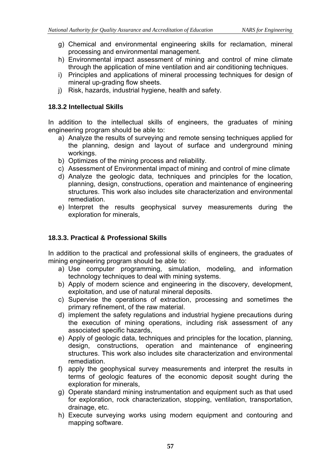- g) Chemical and environmental engineering skills for reclamation, mineral processing and environmental management.
- h) Environmental impact assessment of mining and control of mine climate through the application of mine ventilation and air conditioning techniques.
- i) Principles and applications of mineral processing techniques for design of mineral up-grading flow sheets.
- j) Risk, hazards, industrial hygiene, health and safety.

#### **18.3.2 Intellectual Skills**

In addition to the intellectual skills of engineers, the graduates of mining engineering program should be able to:

- a) Analyze the results of surveying and remote sensing techniques applied for the planning, design and layout of surface and underground mining workings.
- b) Optimizes of the mining process and reliability.
- c) Assessment of Environmental impact of mining and control of mine climate
- d) Analyze the geologic data, techniques and principles for the location, planning, design, constructions, operation and maintenance of engineering structures. This work also includes site characterization and environmental remediation.
- e) Interpret the results geophysical survey measurements during the exploration for minerals.

## **18.3.3. Practical & Professional Skills**

In addition to the practical and professional skills of engineers, the graduates of mining engineering program should be able to:

- a) Use computer programming, simulation, modeling, and information technology techniques to deal with mining systems.
- b) Apply of modern science and engineering in the discovery, development, exploitation, and use of natural mineral deposits.
- c) Supervise the operations of extraction, processing and sometimes the primary refinement, of the raw material.
- d) implement the safety regulations and industrial hygiene precautions during the execution of mining operations, including risk assessment of any associated specific hazards,
- e) Apply of geologic data, techniques and principles for the location, planning, design, constructions, operation and maintenance of engineering structures. This work also includes site characterization and environmental remediation.
- f) apply the geophysical survey measurements and interpret the results in terms of geologic features of the economic deposit sought during the exploration for minerals,
- g) Operate standard mining instrumentation and equipment such as that used for exploration, rock characterization, stopping, ventilation, transportation, drainage, etc.
- h) Execute surveying works using modern equipment and contouring and mapping software.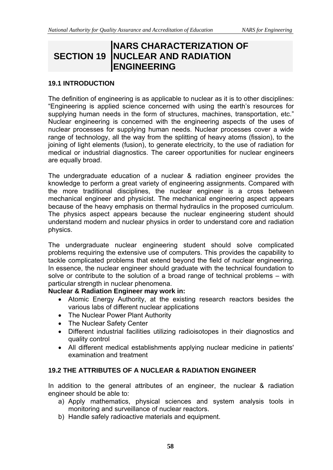# **SECTION 19 NUCLEAR AND RADIATION NARS CHARACTERIZATION OF ENGINEERING**

#### **19.1 INTRODUCTION**

The definition of engineering is as applicable to nuclear as it is to other disciplines: "Engineering is applied science concerned with using the earth's resources for supplying human needs in the form of structures, machines, transportation, etc." Nuclear engineering is concerned with the engineering aspects of the uses of nuclear processes for supplying human needs. Nuclear processes cover a wide range of technology, all the way from the splitting of heavy atoms (fission), to the joining of light elements (fusion), to generate electricity, to the use of radiation for medical or industrial diagnostics. The career opportunities for nuclear engineers are equally broad.

The undergraduate education of a nuclear & radiation engineer provides the knowledge to perform a great variety of engineering assignments. Compared with the more traditional disciplines, the nuclear engineer is a cross between mechanical engineer and physicist. The mechanical engineering aspect appears because of the heavy emphasis on thermal hydraulics in the proposed curriculum. The physics aspect appears because the nuclear engineering student should understand modern and nuclear physics in order to understand core and radiation physics.

The undergraduate nuclear engineering student should solve complicated problems requiring the extensive use of computers. This provides the capability to tackle complicated problems that extend beyond the field of nuclear engineering. In essence, the nuclear engineer should graduate with the technical foundation to solve or contribute to the solution of a broad range of technical problems – with particular strength in nuclear phenomena.

#### **Nuclear & Radiation Engineer may work in:**

- Atomic Energy Authority, at the existing research reactors besides the various labs of different nuclear applications
- The Nuclear Power Plant Authority
- The Nuclear Safety Center
- Different industrial facilities utilizing radioisotopes in their diagnostics and quality control
- All different medical establishments applying nuclear medicine in patients' examination and treatment

## **19.2 THE ATTRIBUTES OF A NUCLEAR & RADIATION ENGINEER**

In addition to the general attributes of an engineer, the nuclear & radiation engineer should be able to:

- a) Apply mathematics, physical sciences and system analysis tools in monitoring and surveillance of nuclear reactors.
- b) Handle safely radioactive materials and equipment.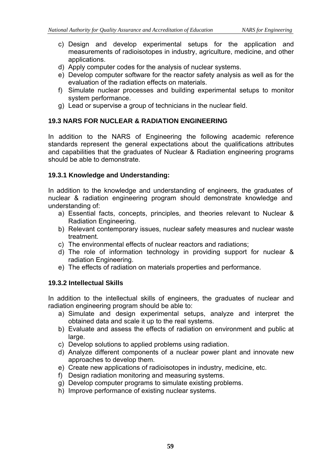- c) Design and develop experimental setups for the application and measurements of radioisotopes in industry, agriculture, medicine, and other applications.
- d) Apply computer codes for the analysis of nuclear systems.
- e) Develop computer software for the reactor safety analysis as well as for the evaluation of the radiation effects on materials.
- f) Simulate nuclear processes and building experimental setups to monitor system performance.
- g) Lead or supervise a group of technicians in the nuclear field.

## **19.3 NARS FOR NUCLEAR & RADIATION ENGINEERING**

In addition to the NARS of Engineering the following academic reference standards represent the general expectations about the qualifications attributes and capabilities that the graduates of Nuclear & Radiation engineering programs should be able to demonstrate.

## **19.3.1 Knowledge and Understanding:**

In addition to the knowledge and understanding of engineers, the graduates of nuclear & radiation engineering program should demonstrate knowledge and understanding of:

- a) Essential facts, concepts, principles, and theories relevant to Nuclear & Radiation Engineering.
- b) Relevant contemporary issues, nuclear safety measures and nuclear waste treatment.
- c) The environmental effects of nuclear reactors and radiations;
- d) The role of information technology in providing support for nuclear & radiation Engineering.
- e) The effects of radiation on materials properties and performance.

# **19.3.2 Intellectual Skills**

In addition to the intellectual skills of engineers, the graduates of nuclear and radiation engineering program should be able to:

- a) Simulate and design experimental setups, analyze and interpret the obtained data and scale it up to the real systems.
- b) Evaluate and assess the effects of radiation on environment and public at large.
- c) Develop solutions to applied problems using radiation.
- d) Analyze different components of a nuclear power plant and innovate new approaches to develop them.
- e) Create new applications of radioisotopes in industry, medicine, etc.
- f) Design radiation monitoring and measuring systems.
- g) Develop computer programs to simulate existing problems.
- h) Improve performance of existing nuclear systems.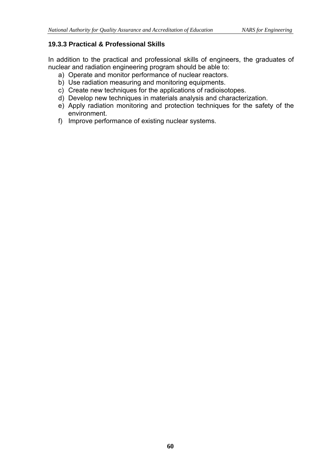# **19.3.3 Practical & Professional Skills**

In addition to the practical and professional skills of engineers, the graduates of nuclear and radiation engineering program should be able to:

- a) Operate and monitor performance of nuclear reactors.
- b) Use radiation measuring and monitoring equipments.
- c) Create new techniques for the applications of radioisotopes.
- d) Develop new techniques in materials analysis and characterization.
- e) Apply radiation monitoring and protection techniques for the safety of the environment.
- f) Improve performance of existing nuclear systems.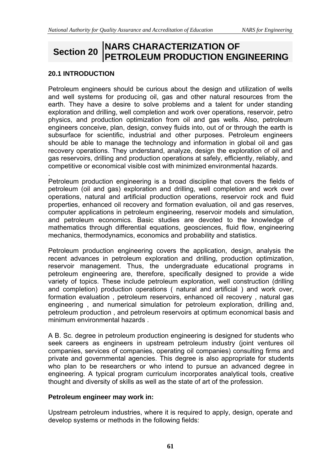# **Section 20 NARS CHARACTERIZATION OF PETROLEUM PRODUCTION ENGINEERING**

# **20.1 INTRODUCTION**

Petroleum engineers should be curious about the design and utilization of wells and well systems for producing oil, gas and other natural resources from the earth. They have a desire to solve problems and a talent for under standing exploration and drilling, well completion and work over operations, reservoir, petro physics, and production optimization from oil and gas wells. Also, petroleum engineers conceive, plan, design, convey fluids into, out of or through the earth is subsurface for scientific, industrial and other purposes. Petroleum engineers should be able to manage the technology and information in global oil and gas recovery operations. They understand, analyze, design the exploration of oil and gas reservoirs, drilling and production operations at safely, efficiently, reliably, and competitive or economical visible cost with minimized environmental hazards.

. Petroleum production engineering is a broad discipline that covers the fields of petroleum (oil and gas) exploration and drilling, well completion and work over operations, natural and artificial production operations, reservoir rock and fluid properties, enhanced oil recovery and formation evaluation, oil and gas reserves, computer applications in petroleum engineering, reservoir models and simulation, and petroleum economics. Basic studies are devoted to the knowledge of mathematics through differential equations, geosciences, fluid flow, engineering mechanics, thermodynamics, economics and probability and statistics.

Petroleum production engineering covers the application, design, analysis the recent advances in petroleum exploration and drilling, production optimization, reservoir management. Thus, the undergraduate educational programs in petroleum engineering are, therefore, specifically designed to provide a wide variety of topics. These include petroleum exploration, well construction (drilling and completion) production operations ( natural and artificial ) and work over, formation evaluation , petroleum reservoirs, enhanced oil recovery , natural gas engineering , and numerical simulation for petroleum exploration, drilling and, petroleum production , and petroleum reservoirs at optimum economical basis and minimum environmental hazards .

A B. Sc. degree in petroleum production engineering is designed for students who seek careers as engineers in upstream petroleum industry (joint ventures oil companies, services of companies, operating oil companies) consulting firms and private and governmental agencies. This degree is also appropriate for students who plan to be researchers or who intend to pursue an advanced degree in engineering. A typical program curriculum incorporates analytical tools, creative thought and diversity of skills as well as the state of art of the profession.

## **Petroleum engineer may work in:**

Upstream petroleum industries, where it is required to apply, design, operate and develop systems or methods in the following fields: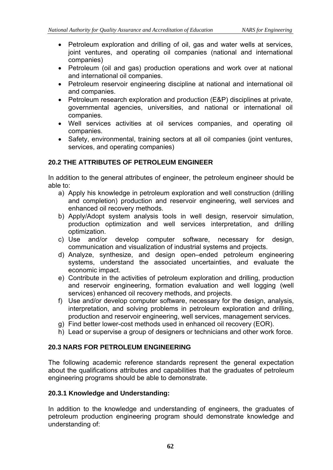- Petroleum exploration and drilling of oil, gas and water wells at services, joint ventures, and operating oil companies (national and international companies)
- Petroleum (oil and gas) production operations and work over at national and international oil companies.
- Petroleum reservoir engineering discipline at national and international oil and companies.
- Petroleum research exploration and production (E&P) disciplines at private, governmental agencies, universities, and national or international oil companies.
- Well services activities at oil services companies, and operating oil companies.
- Safety, environmental, training sectors at all oil companies (joint ventures, services, and operating companies)

# **20.2 THE ATTRIBUTES OF PETROLEUM ENGINEER**

In addition to the general attributes of engineer, the petroleum engineer should be able to:

- a) Apply his knowledge in petroleum exploration and well construction (drilling and completion) production and reservoir engineering, well services and enhanced oil recovery methods.
- b) Apply/Adopt system analysis tools in well design, reservoir simulation, production optimization and well services interpretation, and drilling optimization.
- c) Use and/or develop computer software, necessary for design, communication and visualization of industrial systems and projects.
- d) Analyze, synthesize, and design open–ended petroleum engineering systems, understand the associated uncertainties, and evaluate the economic impact.
- e) Contribute in the activities of petroleum exploration and drilling, production and reservoir engineering, formation evaluation and well logging (well services) enhanced oil recovery methods, and projects.
- f) Use and/or develop computer software, necessary for the design, analysis, interpretation, and solving problems in petroleum exploration and drilling, production and reservoir engineering, well services, management services.
- g) Find better lower-cost methods used in enhanced oil recovery (EOR).
- h) Lead or supervise a group of designers or technicians and other work force.

## **20.3 NARS FOR PETROLEUM ENGINEERING**

The following academic reference standards represent the general expectation about the qualifications attributes and capabilities that the graduates of petroleum engineering programs should be able to demonstrate.

#### **20.3.1 Knowledge and Understanding:**

In addition to the knowledge and understanding of engineers, the graduates of petroleum production engineering program should demonstrate knowledge and understanding of: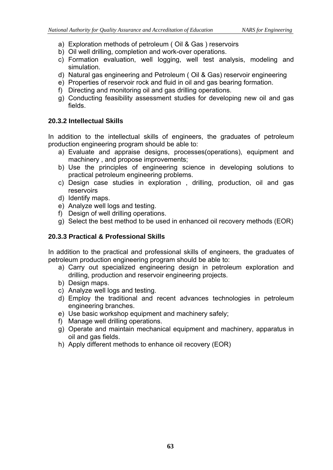- a) Exploration methods of petroleum ( Oil & Gas ) reservoirs
- b) Oil well drilling, completion and work-over operations.
- c) Formation evaluation, well logging, well test analysis, modeling and simulation.
- d) Natural gas engineering and Petroleum ( Oil & Gas) reservoir engineering
- e) Properties of reservoir rock and fluid in oil and gas bearing formation.
- f) Directing and monitoring oil and gas drilling operations.
- g) Conducting feasibility assessment studies for developing new oil and gas fields.

# **20.3.2 Intellectual Skills**

In addition to the intellectual skills of engineers, the graduates of petroleum production engineering program should be able to:

- a) Evaluate and appraise designs, processes(operations), equipment and machinery , and propose improvements;
- b) Use the principles of engineering science in developing solutions to practical petroleum engineering problems.
- c) Design case studies in exploration , drilling, production, oil and gas reservoirs
- d) Identify maps.
- e) Analyze well logs and testing.
- f) Design of well drilling operations.
- g) Select the best method to be used in enhanced oil recovery methods (EOR)

# **20.3.3 Practical & Professional Skills**

In addition to the practical and professional skills of engineers, the graduates of petroleum production engineering program should be able to:

- a) Carry out specialized engineering design in petroleum exploration and drilling, production and reservoir engineering projects.
- b) Design maps.
- c) Analyze well logs and testing.
- d) Employ the traditional and recent advances technologies in petroleum engineering branches.
- e) Use basic workshop equipment and machinery safely;
- f) Manage well drilling operations.
- g) Operate and maintain mechanical equipment and machinery, apparatus in oil and gas fields.
- h) Apply different methods to enhance oil recovery (EOR)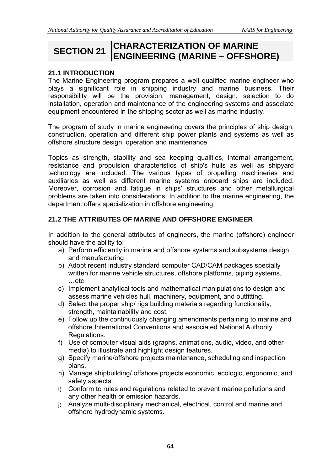# **SECTION 21 CHARACTERIZATION OF MARINE ENGINEERING (MARINE – OFFSHORE)**

## **21.1 INTRODUCTION**

The Marine Engineering program prepares a well qualified marine engineer who plays a significant role in shipping industry and marine business. Their responsibility will be the provision, management, design, selection to do installation, operation and maintenance of the engineering systems and associate equipment encountered in the shipping sector as well as marine industry.

The program of study in marine engineering covers the principles of ship design, construction, operation and different ship power plants and systems as well as offshore structure design, operation and maintenance.

Topics as strength, stability and sea keeping qualities, internal arrangement, resistance and propulsion characteristics of ship's hulls as well as shipyard technology are included. The various types of propelling machineries and auxiliaries as well as different marine systems onboard ships are included. Moreover, corrosion and fatigue in ships' structures and other metallurgical problems are taken into considerations. In addition to the marine engineering, the department offers specialization in offshore engineering.

#### **21.2 THE ATTRIBUTES OF MARINE AND OFFSHORE ENGINEER**

In addition to the general attributes of engineers, the marine (offshore) engineer should have the ability to:

- a) Perform efficiently in marine and offshore systems and subsystems design and manufacturing
- b) Adopt recent industry standard computer CAD/CAM packages specially written for marine vehicle structures, offshore platforms, piping systems, …etc
- c) Implement analytical tools and mathematical manipulations to design and assess marine vehicles hull, machinery, equipment, and outfitting.
- d) Select the proper ship/ rigs building materials regarding functionality, strength, maintainability and cost.
- e) Follow up the continuously changing amendments pertaining to marine and offshore International Conventions and associated National Authority Regulations.
- f) Use of computer visual aids (graphs, animations, audio, video, and other media) to illustrate and highlight design features.
- g) Specify marine/offshore projects maintenance, scheduling and inspection plans.
- h) Manage shipbuilding/ offshore projects economic, ecologic, ergonomic, and safety aspects.
- i) Conform to rules and regulations related to prevent marine pollutions and any other health or emission hazards.
- j) Analyze multi-disciplinary mechanical, electrical, control and marine and offshore hydrodynamic systems.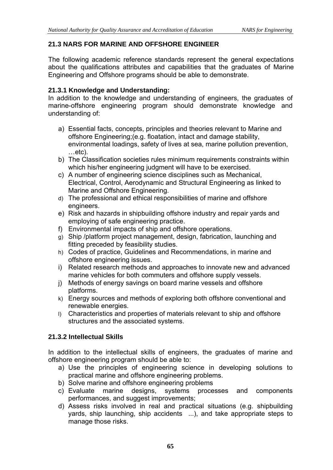# **21.3 NARS FOR MARINE AND OFFSHORE ENGINEER**

The following academic reference standards represent the general expectations about the qualifications attributes and capabilities that the graduates of Marine Engineering and Offshore programs should be able to demonstrate.

# **21.3.1 Knowledge and Understanding:**

In addition to the knowledge and understanding of engineers, the graduates of marine-offshore engineering program should demonstrate knowledge and understanding of:

- a) Essential facts, concepts, principles and theories relevant to Marine and offshore Engineering;(e.g. floatation, intact and damage stability, environmental loadings, safety of lives at sea, marine pollution prevention, …etc).
- b) The Classification societies rules minimum requirements constraints within which his/her engineering judgment will have to be exercised.
- c) A number of engineering science disciplines such as Mechanical, Electrical, Control, Aerodynamic and Structural Engineering as linked to Marine and Offshore Engineering.
- d) The professional and ethical responsibilities of marine and offshore engineers.
- e) Risk and hazards in shipbuilding offshore industry and repair yards and employing of safe engineering practice.
- f) Environmental impacts of ship and offshore operations.
- g) Ship /platform project management, design, fabrication, launching and fitting preceded by feasibility studies.
- h) Codes of practice, Guidelines and Recommendations, in marine and offshore engineering issues.
- i) Related research methods and approaches to innovate new and advanced marine vehicles for both commuters and offshore supply vessels.
- j) Methods of energy savings on board marine vessels and offshore platforms.
- k) Energy sources and methods of exploring both offshore conventional and renewable energies.
- l) Characteristics and properties of materials relevant to ship and offshore structures and the associated systems.

# **21.3.2 Intellectual Skills**

In addition to the intellectual skills of engineers, the graduates of marine and offshore engineering program should be able to:

- a) Use the principles of engineering science in developing solutions to practical marine and offshore engineering problems.
- b) Solve marine and offshore engineering problems
- c) Evaluate marine designs, systems processes and components performances, and suggest improvements;
- d) Assess risks involved in real and practical situations (e.g. shipbuilding yards, ship launching, ship accidents ...), and take appropriate steps to manage those risks.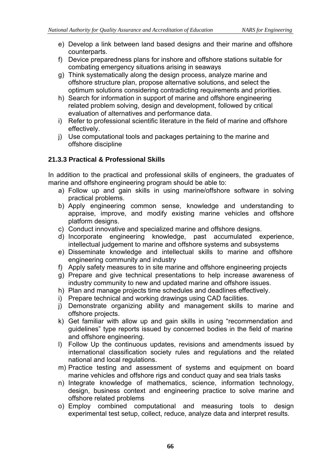- e) Develop a link between land based designs and their marine and offshore counterparts.
- f) Device preparedness plans for inshore and offshore stations suitable for combating emergency situations arising in seaways
- g) Think systematically along the design process, analyze marine and offshore structure plan, propose alternative solutions, and select the optimum solutions considering contradicting requirements and priorities.
- h) Search for information in support of marine and offshore engineering related problem solving, design and development, followed by critical evaluation of alternatives and performance data.
- i) Refer to professional scientific literature in the field of marine and offshore effectively.
- j) Use computational tools and packages pertaining to the marine and offshore discipline

## **21.3.3 Practical & Professional Skills**

In addition to the practical and professional skills of engineers, the graduates of marine and offshore engineering program should be able to:

- a) Follow up and gain skills in using marine/offshore software in solving practical problems.
- b) Apply engineering common sense, knowledge and understanding to appraise, improve, and modify existing marine vehicles and offshore platform designs.
- c) Conduct innovative and specialized marine and offshore designs.
- d) Incorporate engineering knowledge, past accumulated experience, intellectual judgement to marine and offshore systems and subsystems
- e) Disseminate knowledge and intellectual skills to marine and offshore engineering community and industry
- f) Apply safety measures to in site marine and offshore engineering projects
- g) Prepare and give technical presentations to help increase awareness of industry community to new and updated marine and offshore issues.
- h) Plan and manage projects time schedules and deadlines effectively.
- i) Prepare technical and working drawings using CAD facilities.
- j) Demonstrate organizing ability and management skills to marine and offshore projects.
- k) Get familiar with allow up and gain skills in using "recommendation and guidelines" type reports issued by concerned bodies in the field of marine and offshore engineering.
- l) Follow Up the continuous updates, revisions and amendments issued by international classification society rules and regulations and the related national and local regulations.
- m) Practice testing and assessment of systems and equipment on board marine vehicles and offshore rigs and conduct quay and sea trials tasks
- n) Integrate knowledge of mathematics, science, information technology, design, business context and engineering practice to solve marine and offshore related problems
- o) Employ combined computational and measuring tools to design experimental test setup, collect, reduce, analyze data and interpret results.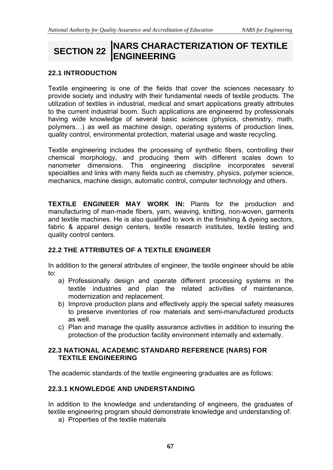# **SECTION 22 NARS CHARACTERIZATION OF TEXTILE ENGINEERING**

# **22.1 INTRODUCTION**

Textile engineering is one of the fields that cover the sciences necessary to provide society and industry with their fundamental needs of textile products. The utilization of textiles in industrial, medical and smart applications greatly attributes to the current industrial boom. Such applications are engineered by professionals having wide knowledge of several basic sciences (physics, chemistry, math, polymers…) as well as machine design, operating systems of production lines, quality control, environmental protection, material usage and waste recycling.

Textile engineering includes the processing of synthetic fibers, controlling their chemical morphology, and producing them with different scales down to nanometer dimensions. This engineering discipline incorporates several specialties and links with many fields such as chemistry, physics, polymer science, mechanics, machine design, automatic control, computer technology and others.

**TEXTILE ENGINEER MAY WORK IN:** Plants for the production and manufacturing of man-made fibers, yarn, weaving, knitting, non-woven, garments and textile machines. He is also qualified to work in the finishing & dyeing sectors, fabric & apparel design centers, textile research institutes, textile testing and quality control centers.

# **22.2 THE ATTRIBUTES OF A TEXTILE ENGINEER**

In addition to the general attributes of engineer, the textile engineer should be able to:

- a) Professionally design and operate different processing systems in the textile industries and plan the related activities of maintenance, modernization and replacement.
- b) Improve production plans and effectively apply the special safety measures to preserve inventories of row materials and semi-manufactured products as well.
- c) Plan and manage the quality assurance activities in addition to insuring the protection of the production facility environment internally and externally.

#### **22.3 NATIONAL ACADEMIC STANDARD REFERENCE (NARS) FOR TEXTILE ENGINEERING**

The academic standards of the textile engineering graduates are as follows:

## **22.3.1 KNOWLEDGE AND UNDERSTANDING**

In addition to the knowledge and understanding of engineers, the graduates of textile engineering program should demonstrate knowledge and understanding of:

a) Properties of the textile materials